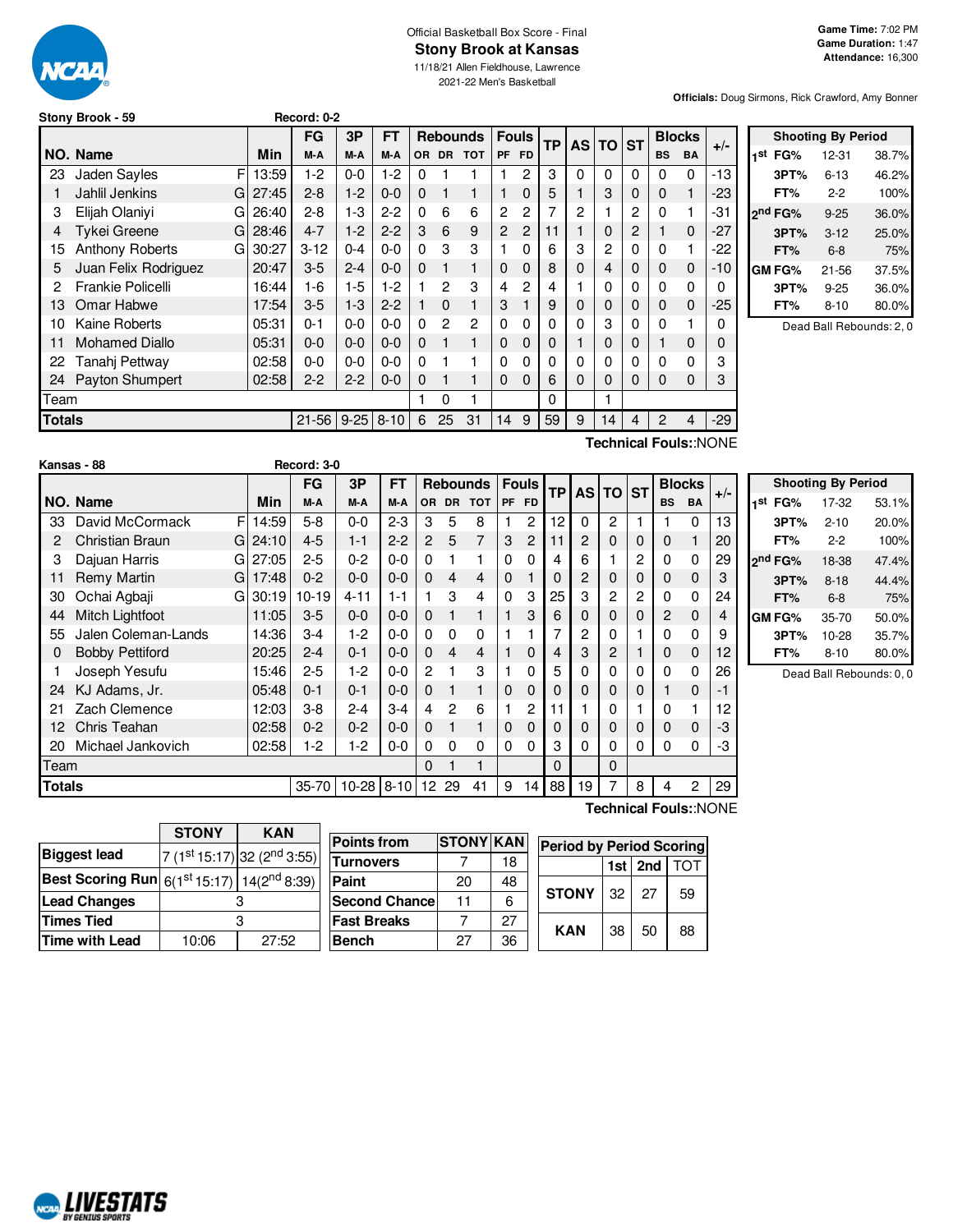

# Official Basketball Box Score - Final **Stony Brook at Kansas**

11/18/21 Allen Fieldhouse, Lawrence 2021-22 Men's Basketball

**Officials:** Doug Sirmons, Rick Crawford, Amy Bonner

**Stony Brook - 59 Record: 0-2**

|                                                    |                          |       | FG       | 3P      | FT      |          |                | <b>Rebounds</b> |             | <b>Fouls</b>   | <b>TP</b> | <b>AS</b>      | <b>TO</b>      | <b>ST</b> | <b>Blocks</b> |              | $+/-$ |
|----------------------------------------------------|--------------------------|-------|----------|---------|---------|----------|----------------|-----------------|-------------|----------------|-----------|----------------|----------------|-----------|---------------|--------------|-------|
|                                                    | NO. Name                 | Min   | M-A      | M-A     | M-A     | 0R       | <b>DR</b>      | <b>TOT</b>      | <b>PF</b>   | <b>FD</b>      |           |                |                |           | <b>BS</b>     | <b>BA</b>    |       |
| 23                                                 | F<br><b>Jaden Sayles</b> | 13:59 | $1-2$    | $0 - 0$ | $1-2$   | 0        |                |                 |             | 2              | 3         | 0              | 0              | 0         | 0             | 0            | $-13$ |
|                                                    | Jahlil Jenkins<br>G      | 27:45 | $2 - 8$  | $1 - 2$ | $0 - 0$ | 0        | 1              | 1               |             | $\mathbf 0$    | 5         |                | 3              | 0         | 0             | 1            | -23   |
| 3                                                  | Elijah Olaniyi<br>G      | 26:40 | $2 - 8$  | $1 - 3$ | $2 - 2$ | 0        | 6              | 6               | 2           | 2              | 7         | $\overline{2}$ |                | 2         | 0             |              | -31   |
| 4                                                  | <b>Tykei Greene</b><br>G | 28:46 | $4 - 7$  | $1 - 2$ | $2 - 2$ | 3        | 6              | 9               | 2           | $\overline{2}$ | 11        |                | 0              | 2         |               | $\mathbf 0$  | $-27$ |
| 15                                                 | Anthony Roberts<br>G     | 30:27 | $3 - 12$ | $0 - 4$ | $0 - 0$ | 0        | 3              | 3               |             | $\Omega$       | 6         | 3              | $\overline{c}$ | 0         | 0             | 1            | -22   |
| 5                                                  | Juan Felix Rodriguez     | 20:47 | $3-5$    | $2 - 4$ | $0 - 0$ | $\Omega$ | 1              | 1               | $\mathbf 0$ | $\mathbf 0$    | 8         | 0              | 4              | 0         | 0             | 0            | $-10$ |
| 2                                                  | Frankie Policelli        | 16:44 | $1 - 6$  | $1-5$   | $1-2$   |          | $\overline{2}$ | 3               | 4           | 2              | 4         |                | 0              | 0         | 0             | 0            |       |
| 13                                                 | Omar Habwe               | 17:54 | $3-5$    | $1 - 3$ | $2 - 2$ |          | $\Omega$       | 1               | 3           |                | 9         | 0              | 0              | 0         | 0             | $\mathbf{0}$ | -25   |
| 10                                                 | <b>Kaine Roberts</b>     | 05:31 | $0 - 1$  | $0 - 0$ | $0 - 0$ | 0        | $\overline{c}$ | 2               | $\Omega$    | 0              | 0         | 0              | 3              | 0         | 0             |              |       |
| 11                                                 | <b>Mohamed Diallo</b>    | 05:31 | $0 - 0$  | $0 - 0$ | $0 - 0$ | 0        | 1              | $\mathbf{1}$    | $\Omega$    | $\mathbf 0$    | O         |                | 0              | 0         |               | $\mathbf 0$  |       |
| 22                                                 | Tanahj Pettway           | 02:58 | $0-0$    | $0 - 0$ | $0 - 0$ | 0        |                |                 | $\Omega$    | 0              | 0         | 0              | 0              | 0         | 0             | 0            |       |
| 24                                                 | Payton Shumpert          | 02:58 | $2 - 2$  | $2 - 2$ | $0 - 0$ | 0        |                |                 | $\Omega$    | $\Omega$       | 6         | 0              | 0              | 0         | 0             | 0            | 3     |
| Team                                               |                          |       |          |         |         |          | 0              | 1               |             |                | 0         |                | 1              |           |               |              |       |
| <b>Totals</b><br>$21 - 56$<br>$9 - 25$<br>$8 - 10$ |                          |       |          |         |         |          |                | 31              | 14          | 9              | 59        | 9              | 14             | 4         | 2             | 4            | $-29$ |
|                                                    | Technical Foule∵NONE     |       |          |         |         |          |                |                 |             |                |           |                |                |           |               |              |       |

|     |                     | <b>Shooting By Period</b> |       |
|-----|---------------------|---------------------------|-------|
| 1st | FG%                 | 12-31                     | 38.7% |
|     | 3PT%                | $6 - 13$                  | 46.2% |
|     | FT%                 | 2-2                       | 100%  |
|     | 2 <sup>nd</sup> FG% | $9 - 25$                  | 36.0% |
|     | 3PT%                | $3-12$                    | 25.0% |
|     | FT%                 | $6-8$                     | 75%   |
|     | GM FG%              | 21-56                     | 37.5% |
|     | 3PT%                | $9 - 25$                  | 36.0% |
|     | FT%                 | $8 - 10$                  | 80.0% |
|     |                     |                           |       |

Dead Ball Rebounds: 2, 0

**Technical Fouls:**:NONE

**Technical Fouls:**:NONE

|               | Kansas - 88            |             | Record: 3-0 |              |           |                |    |                 |   |              |    |          |                |          |           |               |       |                     |                     |              |
|---------------|------------------------|-------------|-------------|--------------|-----------|----------------|----|-----------------|---|--------------|----|----------|----------------|----------|-----------|---------------|-------|---------------------|---------------------|--------------|
|               |                        |             | <b>FG</b>   | 3P           | <b>FT</b> |                |    | <b>Rebounds</b> |   | <b>Fouls</b> |    | TP AS TO |                | ∣sт      |           | <b>Blocks</b> |       |                     | <b>Shooting</b>     |              |
|               | NO. Name               | Min         | M-A         | M-A          | M-A       |                |    | OR DR TOT       |   | PF FD        |    |          |                |          | <b>BS</b> | BA            | $+/-$ |                     | 1 <sup>st</sup> FG% | 1.           |
| 33            | David McCormack        | F.<br>14:59 | $5 - 8$     | $0-0$        | $2 - 3$   | 3              | 5  | 8               |   | 2            | 12 | $\Omega$ | 2              |          |           | 0             | 13    |                     | 3PT%                | 2            |
| 2             | <b>Christian Braun</b> | G124:10     | $4 - 5$     | $1 - 1$      | $2 - 2$   | $\overline{2}$ | 5  |                 | 3 | 2            | 11 | 2        | $\mathbf 0$    | 0        | 0         |               | 20    |                     | FT%                 |              |
| 3             | Dajuan Harris          | 27:05<br>GI | $2 - 5$     | $0 - 2$      | $0 - 0$   | 0              |    |                 | 0 | 0            | 4  | 6        |                | 2        | 0         | 0             | 29    | 2 <sup>nd</sup> FG% |                     | 18           |
| 11            | Remy Martin<br>G       | 17:48       | $0 - 2$     | $0 - 0$      | $0 - 0$   | 0              | 4  | 4               | 0 |              | 0  | 2        | $\mathbf 0$    | 0        | 0         | 0             | 3     |                     | 3PT%                | 8            |
| 30            | Ochai Agbaji<br>G      | 30:19       | 10-19       | $4 - 11$     | $1 - 1$   |                | 3  | 4               | 0 | 3            | 25 | 3        | $\overline{c}$ | 2        | 0         | 0             | 24    |                     | FT%                 |              |
| 44            | Mitch Lightfoot        | 11:05       | $3-5$       | $0 - 0$      | $0 - 0$   | 0              |    | 1               |   | 3            | 6  | 0        | $\mathbf{0}$   | $\Omega$ | 2         | 0             | 4     | <b>GM FG%</b>       |                     | 3            |
| 55            | Jalen Coleman-Lands    | 14:36       | $3 - 4$     | $1-2$        | $0-0$     | 0              | 0  | $\Omega$        |   |              | 7  | 2        | 0              |          | 0         | 0             | 9     |                     | 3PT%                | $\mathbf{1}$ |
| 0             | <b>Bobby Pettiford</b> | 20:25       | $2 - 4$     | $0 - 1$      | $0 - 0$   | 0              | 4  | 4               |   | $\Omega$     | 4  | 3        | $\mathbf{2}$   |          | 0         | $\mathbf 0$   | 12    |                     | FT%                 | 8            |
|               | Joseph Yesufu          | 15:46       | $2 - 5$     | $1-2$        | $0 - 0$   | 2              |    | 3               |   | 0            | 5  | 0        | 0              |          | 0         | 0             | 26    |                     | Dead Bal            |              |
| 24            | KJ Adams, Jr.          | 05:48       | $0 - 1$     | $0 - 1$      | $0 - 0$   | 0              |    |                 | 0 | 0            | 0  | 0        | $\mathbf 0$    | 0        |           | 0             | -1    |                     |                     |              |
| 21            | Zach Clemence          | 12:03       | $3 - 8$     | $2 - 4$      | $3 - 4$   | 4              | 2  | 6               |   | 2            | 11 |          | 0              |          | 0         |               | 12    |                     |                     |              |
| 12            | Chris Teahan           | 02:58       | $0 - 2$     | $0 - 2$      | $0 - 0$   | 0              |    |                 | 0 | $\mathbf{0}$ | 0  | 0        | $\mathbf{0}$   | 0        | 0         | 0             | -3    |                     |                     |              |
| 20            | Michael Jankovich      | 02:58       | $1-2$       | 1-2          | $0 - 0$   | 0              | 0  | 0               | 0 | 0            | 3  | 0        | 0              | 0        | 0         | 0             | -3    |                     |                     |              |
| Team          |                        |             |             |              |           | 0              |    |                 |   |              | 0  |          | $\mathbf{0}$   |          |           |               |       |                     |                     |              |
| <b>Totals</b> |                        |             | $35 - 70$   | $10-28$ 8-10 |           | 12             | 29 | 41              | 9 | 14 I         | 88 | 19       |                | 8        | 4         | 2             | 29    |                     |                     |              |

|     |                     | <b>Shooting By Period</b> |       |
|-----|---------------------|---------------------------|-------|
| 1st | FG%                 | 17-32                     | 53.1% |
|     | 3PT%                | $2 - 10$                  | 20.0% |
|     | FT%                 | $2 - 2$                   | 100%  |
|     | 2 <sup>nd</sup> FG% | 18-38                     | 47.4% |
|     | 3PT%                | $8 - 18$                  | 44.4% |
|     | FT%                 | $6 - 8$                   | 75%   |
|     | GM FG%              | 35-70                     | 50.0% |
|     | 3PT%                | 10-28                     | 35.7% |
|     | FT%                 | $8 - 10$                  | 80.0% |

Rebounds: 0, 0

|                                                                    | <b>STONY</b> | <b>KAN</b>                                          |
|--------------------------------------------------------------------|--------------|-----------------------------------------------------|
| <b>Biggest lead</b>                                                |              | 7 (1 <sup>st</sup> 15:17) 32 (2 <sup>nd</sup> 3:55) |
| <b>Best Scoring Run</b> $6(1^{st} 15:17)$ 14(2 <sup>nd</sup> 8:39) |              |                                                     |
| <b>Lead Changes</b>                                                |              |                                                     |
| <b>Times Tied</b>                                                  |              |                                                     |
| Time with Lead                                                     | 10:06        | 27:52                                               |

NCAL LIVESTATS

| <b>Points from</b>    | <b>STONY KAN</b> |    | <b>Period by Period Scoring</b> |    |             |     |  |  |  |  |  |
|-----------------------|------------------|----|---------------------------------|----|-------------|-----|--|--|--|--|--|
| Turnovers             |                  | 18 |                                 |    | 1st $ 2nd $ | ΤΩΤ |  |  |  |  |  |
| Paint                 | 20               | 48 |                                 |    |             |     |  |  |  |  |  |
| <b>Second Chancel</b> | 11               | 6  | <b>STONY</b>                    | 32 | 27          | 59  |  |  |  |  |  |
| <b>Fast Breaks</b>    |                  | 27 | <b>KAN</b>                      |    |             |     |  |  |  |  |  |
| <b>Bench</b>          | 27               | 36 |                                 | 38 | 50          | 88  |  |  |  |  |  |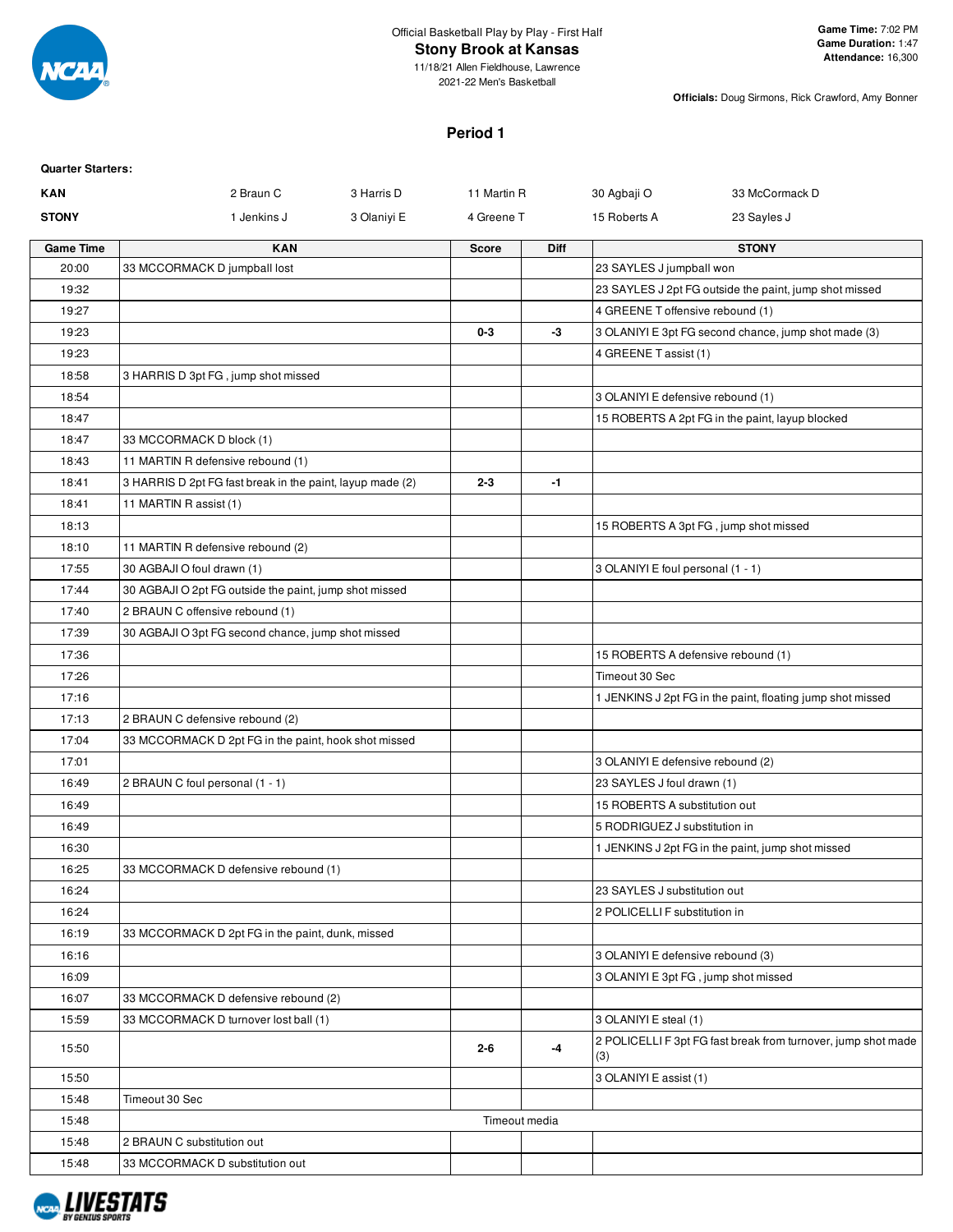

# **Stony Brook at Kansas**

11/18/21 Allen Fieldhouse, Lawrence 2021-22 Men's Basketball

**Officials:** Doug Sirmons, Rick Crawford, Amy Bonner

# **Period 1**

| <b>Quarter Starters:</b> |                                                           |             |               |             |                                      |                                                               |
|--------------------------|-----------------------------------------------------------|-------------|---------------|-------------|--------------------------------------|---------------------------------------------------------------|
| <b>KAN</b>               | 2 Braun C                                                 | 3 Harris D  | 11 Martin R   |             | 30 Agbaji O                          | 33 McCormack D                                                |
| <b>STONY</b>             | 1 Jenkins J                                               | 3 Olaniyi E | 4 Greene T    |             | 15 Roberts A                         | 23 Sayles J                                                   |
| <b>Game Time</b>         | <b>KAN</b>                                                |             | <b>Score</b>  | <b>Diff</b> |                                      | <b>STONY</b>                                                  |
| 20:00                    | 33 MCCORMACK D jumpball lost                              |             |               |             | 23 SAYLES J jumpball won             |                                                               |
| 19:32                    |                                                           |             |               |             |                                      | 23 SAYLES J 2pt FG outside the paint, jump shot missed        |
| 19:27                    |                                                           |             |               |             | 4 GREENE T offensive rebound (1)     |                                                               |
| 19:23                    |                                                           |             | $0-3$         | -3          |                                      | 3 OLANIYI E 3pt FG second chance, jump shot made (3)          |
| 19:23                    |                                                           |             |               |             | 4 GREENE T assist (1)                |                                                               |
| 18:58                    | 3 HARRIS D 3pt FG, jump shot missed                       |             |               |             |                                      |                                                               |
| 18:54                    |                                                           |             |               |             | 3 OLANIYI E defensive rebound (1)    |                                                               |
| 18:47                    |                                                           |             |               |             |                                      | 15 ROBERTS A 2pt FG in the paint, layup blocked               |
| 18:47                    | 33 MCCORMACK D block (1)                                  |             |               |             |                                      |                                                               |
| 18:43                    | 11 MARTIN R defensive rebound (1)                         |             |               |             |                                      |                                                               |
| 18:41                    | 3 HARRIS D 2pt FG fast break in the paint, layup made (2) |             | $2 - 3$       | $-1$        |                                      |                                                               |
| 18:41                    | 11 MARTIN R assist (1)                                    |             |               |             |                                      |                                                               |
| 18:13                    |                                                           |             |               |             |                                      | 15 ROBERTS A 3pt FG, jump shot missed                         |
| 18:10                    | 11 MARTIN R defensive rebound (2)                         |             |               |             |                                      |                                                               |
| 17:55                    | 30 AGBAJI O foul drawn (1)                                |             |               |             | 3 OLANIYI E foul personal (1 - 1)    |                                                               |
| 17:44                    | 30 AGBAJI O 2pt FG outside the paint, jump shot missed    |             |               |             |                                      |                                                               |
| 17:40                    | 2 BRAUN C offensive rebound (1)                           |             |               |             |                                      |                                                               |
| 17:39                    | 30 AGBAJI O 3pt FG second chance, jump shot missed        |             |               |             |                                      |                                                               |
| 17:36                    |                                                           |             |               |             | 15 ROBERTS A defensive rebound (1)   |                                                               |
| 17:26                    |                                                           |             |               |             | Timeout 30 Sec                       |                                                               |
| 17:16                    |                                                           |             |               |             |                                      | 1 JENKINS J 2pt FG in the paint, floating jump shot missed    |
| 17:13                    | 2 BRAUN C defensive rebound (2)                           |             |               |             |                                      |                                                               |
| 17:04                    | 33 MCCORMACK D 2pt FG in the paint, hook shot missed      |             |               |             |                                      |                                                               |
| 17:01                    |                                                           |             |               |             | 3 OLANIYI E defensive rebound (2)    |                                                               |
| 16:49                    | 2 BRAUN C foul personal (1 - 1)                           |             |               |             | 23 SAYLES J foul drawn (1)           |                                                               |
| 16:49                    |                                                           |             |               |             | 15 ROBERTS A substitution out        |                                                               |
| 16:49                    |                                                           |             |               |             | 5 RODRIGUEZ J substitution in        |                                                               |
| 16:30                    | 33 MCCORMACK D defensive rebound (1)                      |             |               |             |                                      | 1 JENKINS J 2pt FG in the paint, jump shot missed             |
| 16:25<br>16:24           |                                                           |             |               |             | 23 SAYLES J substitution out         |                                                               |
| 16:24                    |                                                           |             |               |             | 2 POLICELLI F substitution in        |                                                               |
| 16:19                    | 33 MCCORMACK D 2pt FG in the paint, dunk, missed          |             |               |             |                                      |                                                               |
| 16:16                    |                                                           |             |               |             | 3 OLANIYI E defensive rebound (3)    |                                                               |
| 16:09                    |                                                           |             |               |             | 3 OLANIYI E 3pt FG, jump shot missed |                                                               |
| 16:07                    | 33 MCCORMACK D defensive rebound (2)                      |             |               |             |                                      |                                                               |
| 15:59                    | 33 MCCORMACK D turnover lost ball (1)                     |             |               |             | 3 OLANIYI E steal (1)                |                                                               |
|                          |                                                           |             |               |             |                                      | 2 POLICELLI F 3pt FG fast break from turnover, jump shot made |
| 15:50                    |                                                           |             | $2 - 6$       | -4          | (3)                                  |                                                               |
| 15:50                    |                                                           |             |               |             | 3 OLANIYI E assist (1)               |                                                               |
| 15:48                    | Timeout 30 Sec                                            |             |               |             |                                      |                                                               |
| 15:48                    |                                                           |             | Timeout media |             |                                      |                                                               |
| 15:48                    | 2 BRAUN C substitution out                                |             |               |             |                                      |                                                               |
| 15:48                    | 33 MCCORMACK D substitution out                           |             |               |             |                                      |                                                               |

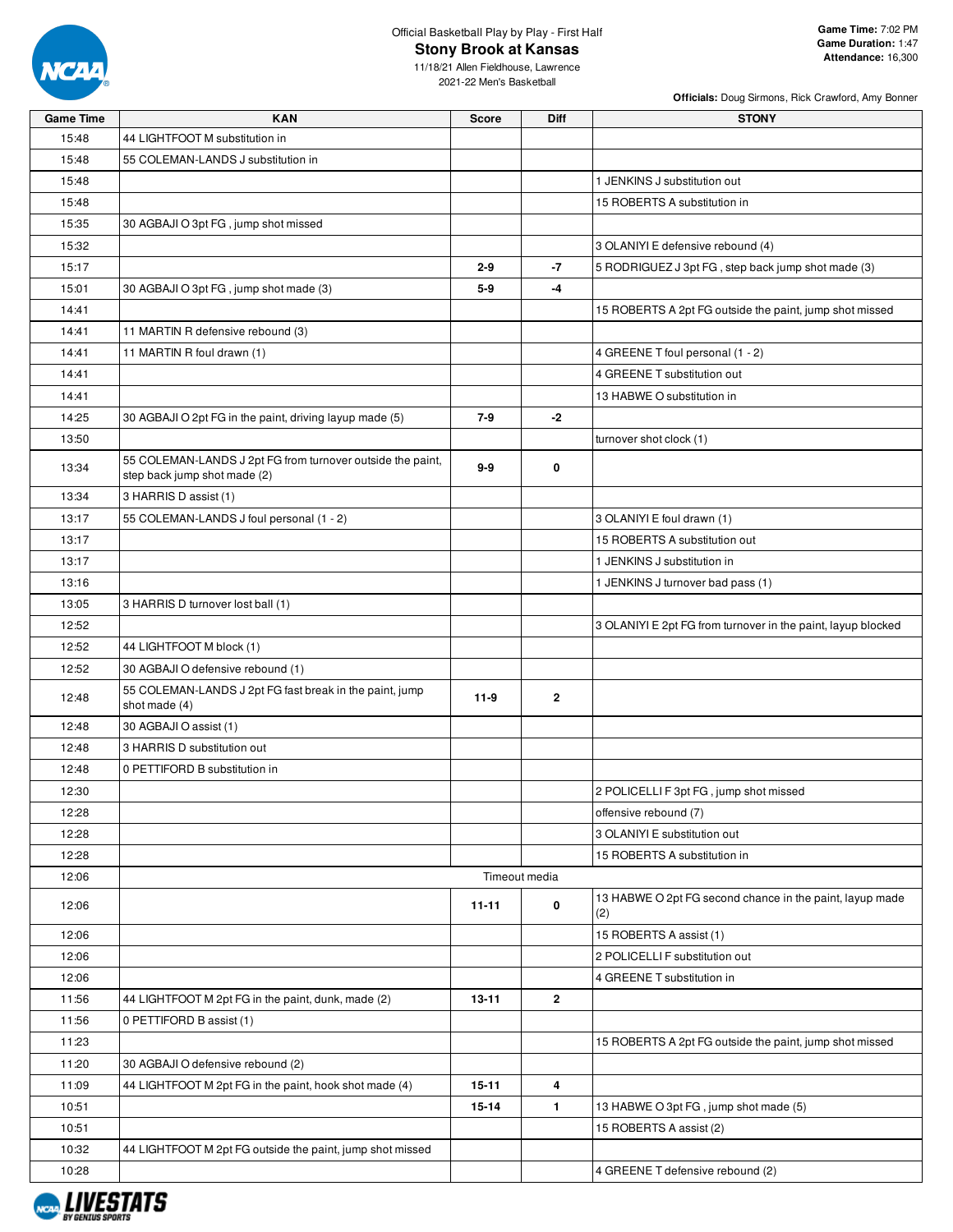

### Official Basketball Play by Play - First Half **Stony Brook at Kansas**

**Game Time:** 7:02 PM **Game Duration:** 1:47 **Attendance:** 16,300

**Officials:** Doug Sirmons, Rick Crawford, Amy Bonner

| <b>Game Time</b> | <b>KAN</b>                                                               | <b>Score</b> | Diff           | <b>STONY</b>                                                    |
|------------------|--------------------------------------------------------------------------|--------------|----------------|-----------------------------------------------------------------|
| 15:48            | 44 LIGHTFOOT M substitution in                                           |              |                |                                                                 |
| 15:48            | 55 COLEMAN-LANDS J substitution in                                       |              |                |                                                                 |
| 15:48            |                                                                          |              |                | 1 JENKINS J substitution out                                    |
| 15:48            |                                                                          |              |                | 15 ROBERTS A substitution in                                    |
| 15:35            | 30 AGBAJI O 3pt FG, jump shot missed                                     |              |                |                                                                 |
| 15:32            |                                                                          |              |                | 3 OLANIYI E defensive rebound (4)                               |
| 15:17            |                                                                          | $2 - 9$      | $-7$           | 5 RODRIGUEZ J 3pt FG, step back jump shot made (3)              |
| 15:01            | 30 AGBAJI O 3pt FG, jump shot made (3)                                   | $5-9$        | -4             |                                                                 |
| 14:41            |                                                                          |              |                | 15 ROBERTS A 2pt FG outside the paint, jump shot missed         |
| 14:41            | 11 MARTIN R defensive rebound (3)                                        |              |                |                                                                 |
| 14:41            | 11 MARTIN R foul drawn (1)                                               |              |                | 4 GREENE T foul personal (1 - 2)                                |
| 14:41            |                                                                          |              |                | 4 GREENE T substitution out                                     |
| 14:41            |                                                                          |              |                | 13 HABWE O substitution in                                      |
| 14:25            | 30 AGBAJI O 2pt FG in the paint, driving layup made (5)                  | $7-9$        | -2             |                                                                 |
| 13:50            |                                                                          |              |                | turnover shot clock (1)                                         |
| 13:34            | 55 COLEMAN-LANDS J 2pt FG from turnover outside the paint,               | $9-9$        | 0              |                                                                 |
|                  | step back jump shot made (2)                                             |              |                |                                                                 |
| 13:34            | 3 HARRIS D assist (1)                                                    |              |                |                                                                 |
| 13:17            | 55 COLEMAN-LANDS J foul personal (1 - 2)                                 |              |                | 3 OLANIYI E foul drawn (1)                                      |
| 13:17            |                                                                          |              |                | 15 ROBERTS A substitution out                                   |
| 13:17            |                                                                          |              |                | 1 JENKINS J substitution in                                     |
| 13:16            |                                                                          |              |                | 1 JENKINS J turnover bad pass (1)                               |
| 13:05            | 3 HARRIS D turnover lost ball (1)                                        |              |                |                                                                 |
| 12:52            |                                                                          |              |                | 3 OLANIYI E 2pt FG from turnover in the paint, layup blocked    |
| 12:52            | 44 LIGHTFOOT M block (1)                                                 |              |                |                                                                 |
| 12:52            | 30 AGBAJI O defensive rebound (1)                                        |              |                |                                                                 |
| 12:48            | 55 COLEMAN-LANDS J 2pt FG fast break in the paint, jump<br>shot made (4) | $11-9$       | $\mathbf{2}$   |                                                                 |
| 12:48            | 30 AGBAJI O assist (1)                                                   |              |                |                                                                 |
| 12:48            | 3 HARRIS D substitution out                                              |              |                |                                                                 |
| 12:48            | 0 PETTIFORD B substitution in                                            |              |                |                                                                 |
| 12:30            |                                                                          |              |                | 2 POLICELLI F 3pt FG, jump shot missed                          |
| 12:28            |                                                                          |              |                | offensive rebound (7)                                           |
| 12:28            |                                                                          |              |                | 3 OLANIYI E substitution out                                    |
| 12:28            |                                                                          |              |                | 15 ROBERTS A substitution in                                    |
| 12:06            |                                                                          |              | Timeout media  |                                                                 |
| 12:06            |                                                                          | $11 - 11$    | 0              | 13 HABWE O 2pt FG second chance in the paint, layup made<br>(2) |
| 12:06            |                                                                          |              |                | 15 ROBERTS A assist (1)                                         |
| 12:06            |                                                                          |              |                | 2 POLICELLI F substitution out                                  |
| 12:06            |                                                                          |              |                | 4 GREENE T substitution in                                      |
| 11:56            | 44 LIGHTFOOT M 2pt FG in the paint, dunk, made (2)                       | 13-11        | $\overline{2}$ |                                                                 |
| 11:56            | 0 PETTIFORD B assist (1)                                                 |              |                |                                                                 |
| 11:23            |                                                                          |              |                | 15 ROBERTS A 2pt FG outside the paint, jump shot missed         |
| 11:20            | 30 AGBAJI O defensive rebound (2)                                        |              |                |                                                                 |
| 11:09            | 44 LIGHTFOOT M 2pt FG in the paint, hook shot made (4)                   | $15 - 11$    | 4              |                                                                 |
| 10:51            |                                                                          | $15 - 14$    | $\mathbf{1}$   | 13 HABWE O 3pt FG, jump shot made (5)                           |
| 10:51            |                                                                          |              |                | 15 ROBERTS A assist (2)                                         |
| 10:32            | 44 LIGHTFOOT M 2pt FG outside the paint, jump shot missed                |              |                |                                                                 |
| 10:28            |                                                                          |              |                | 4 GREENE T defensive rebound (2)                                |
|                  |                                                                          |              |                |                                                                 |

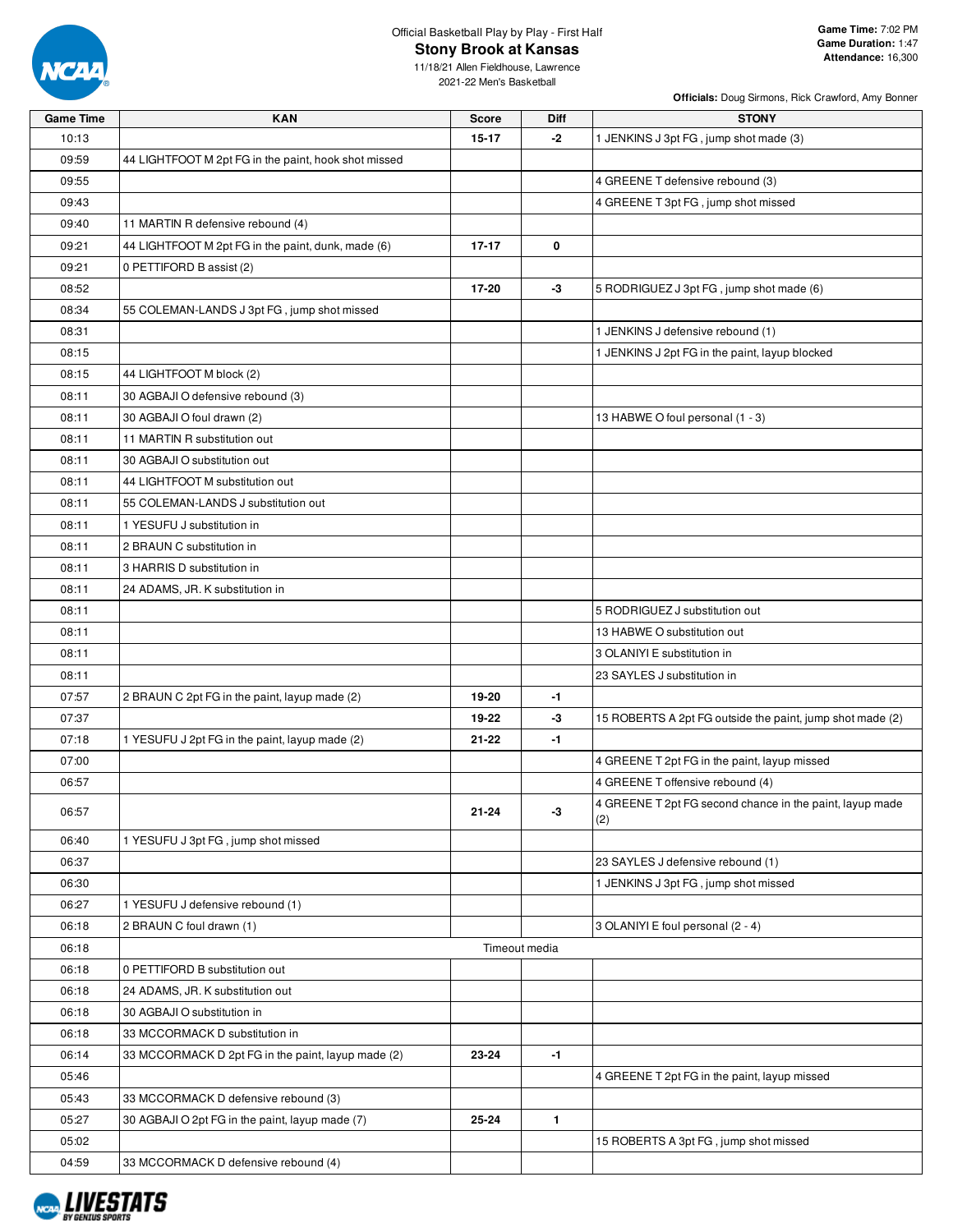

# Official Basketball Play by Play - First Half **Stony Brook at Kansas**

**Officials:** Doug Sirmons, Rick Crawford, Amy Bonner

| <b>Game Time</b> | <b>KAN</b>                                           | <b>Score</b>  | Diff | <b>STONY</b>                                              |
|------------------|------------------------------------------------------|---------------|------|-----------------------------------------------------------|
| 10:13            |                                                      | $15 - 17$     | -2   | 1 JENKINS J 3pt FG, jump shot made (3)                    |
| 09:59            | 44 LIGHTFOOT M 2pt FG in the paint, hook shot missed |               |      |                                                           |
| 09:55            |                                                      |               |      | 4 GREENE T defensive rebound (3)                          |
| 09:43            |                                                      |               |      | 4 GREENE T 3pt FG, jump shot missed                       |
| 09:40            | 11 MARTIN R defensive rebound (4)                    |               |      |                                                           |
| 09:21            | 44 LIGHTFOOT M 2pt FG in the paint, dunk, made (6)   | $17 - 17$     | 0    |                                                           |
| 09:21            | 0 PETTIFORD B assist (2)                             |               |      |                                                           |
| 08:52            |                                                      | 17-20         | $-3$ | 5 RODRIGUEZ J 3pt FG, jump shot made (6)                  |
| 08:34            | 55 COLEMAN-LANDS J 3pt FG, jump shot missed          |               |      |                                                           |
| 08:31            |                                                      |               |      | 1 JENKINS J defensive rebound (1)                         |
| 08:15            |                                                      |               |      | 1 JENKINS J 2pt FG in the paint, layup blocked            |
| 08:15            | 44 LIGHTFOOT M block (2)                             |               |      |                                                           |
| 08:11            | 30 AGBAJI O defensive rebound (3)                    |               |      |                                                           |
| 08:11            | 30 AGBAJI O foul drawn (2)                           |               |      | 13 HABWE O foul personal (1 - 3)                          |
| 08:11            | 11 MARTIN R substitution out                         |               |      |                                                           |
| 08:11            | 30 AGBAJI O substitution out                         |               |      |                                                           |
| 08:11            | 44 LIGHTFOOT M substitution out                      |               |      |                                                           |
| 08:11            | 55 COLEMAN-LANDS J substitution out                  |               |      |                                                           |
| 08:11            | 1 YESUFU J substitution in                           |               |      |                                                           |
| 08:11            | 2 BRAUN C substitution in                            |               |      |                                                           |
| 08:11            | 3 HARRIS D substitution in                           |               |      |                                                           |
| 08:11            | 24 ADAMS, JR. K substitution in                      |               |      |                                                           |
| 08:11            |                                                      |               |      | 5 RODRIGUEZ J substitution out                            |
| 08:11            |                                                      |               |      | 13 HABWE O substitution out                               |
| 08:11            |                                                      |               |      | 3 OLANIYI E substitution in                               |
| 08:11            |                                                      |               |      | 23 SAYLES J substitution in                               |
| 07:57            | 2 BRAUN C 2pt FG in the paint, layup made (2)        | 19-20         | $-1$ |                                                           |
| 07:37            |                                                      | 19-22         | -3   | 15 ROBERTS A 2pt FG outside the paint, jump shot made (2) |
| 07:18            | 1 YESUFU J 2pt FG in the paint, layup made (2)       | 21-22         | $-1$ |                                                           |
| 07:00            |                                                      |               |      | 4 GREENE T 2pt FG in the paint, layup missed              |
| 06:57            |                                                      |               |      | 4 GREENE T offensive rebound (4)                          |
| 06:57            |                                                      | $21 - 24$     | $-3$ | 4 GREENE T 2pt FG second chance in the paint, layup made  |
|                  |                                                      |               |      | (2)                                                       |
| 06:40            | 1 YESUFU J 3pt FG, jump shot missed                  |               |      |                                                           |
| 06:37            |                                                      |               |      | 23 SAYLES J defensive rebound (1)                         |
| 06:30            |                                                      |               |      | 1 JENKINS J 3pt FG, jump shot missed                      |
| 06:27            | 1 YESUFU J defensive rebound (1)                     |               |      |                                                           |
| 06:18            | 2 BRAUN C foul drawn (1)                             |               |      | 3 OLANIYI E foul personal (2 - 4)                         |
| 06:18            |                                                      | Timeout media |      |                                                           |
| 06:18            | 0 PETTIFORD B substitution out                       |               |      |                                                           |
| 06:18            | 24 ADAMS, JR. K substitution out                     |               |      |                                                           |
| 06:18            | 30 AGBAJI O substitution in                          |               |      |                                                           |
| 06:18            | 33 MCCORMACK D substitution in                       |               |      |                                                           |
| 06:14            | 33 MCCORMACK D 2pt FG in the paint, layup made (2)   | 23-24         | $-1$ |                                                           |
| 05:46            |                                                      |               |      | 4 GREENE T 2pt FG in the paint, layup missed              |
| 05:43            | 33 MCCORMACK D defensive rebound (3)                 |               |      |                                                           |
| 05:27            | 30 AGBAJI O 2pt FG in the paint, layup made (7)      | 25-24         | 1    |                                                           |
| 05:02            |                                                      |               |      | 15 ROBERTS A 3pt FG, jump shot missed                     |
| 04:59            | 33 MCCORMACK D defensive rebound (4)                 |               |      |                                                           |

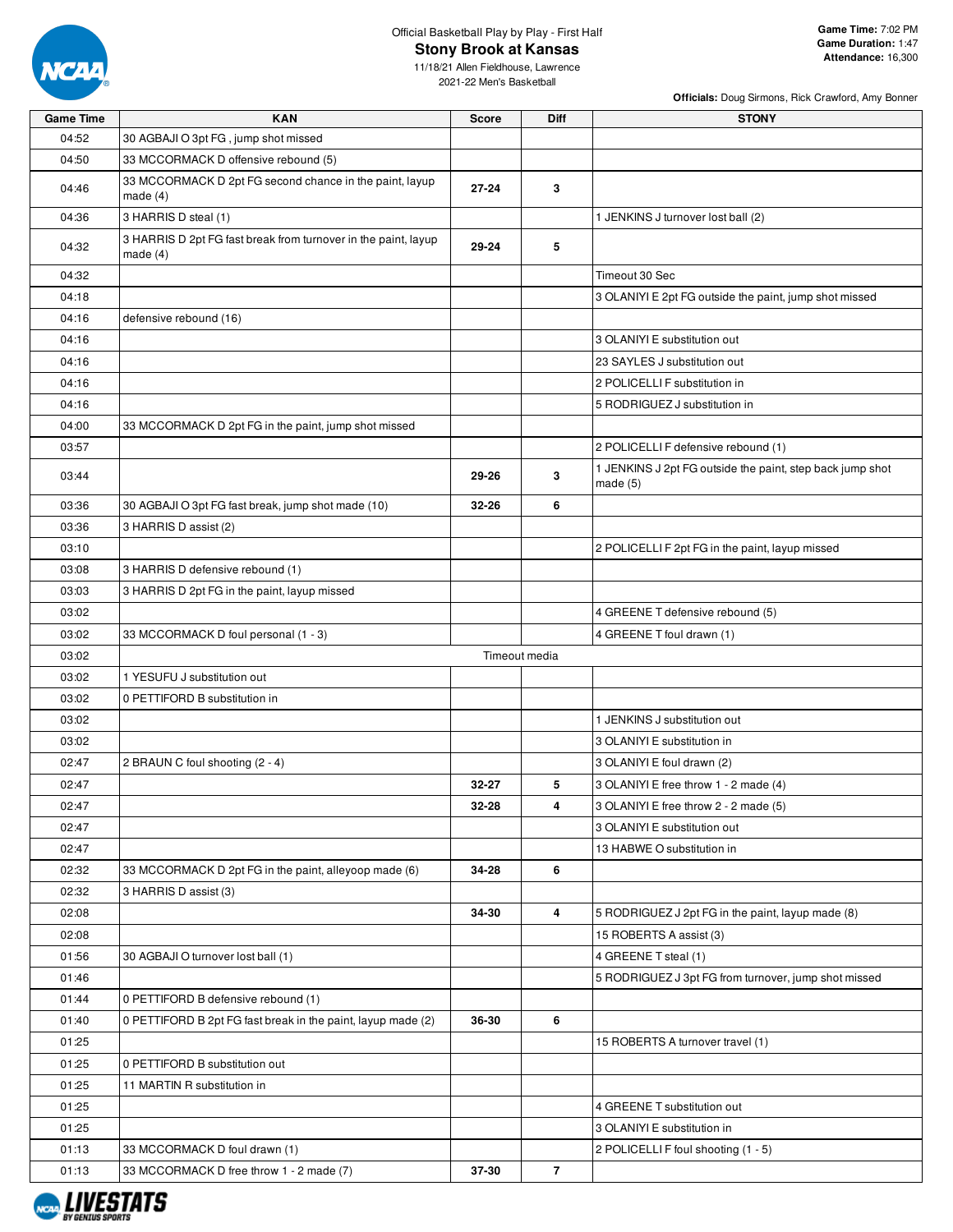

# Official Basketball Play by Play - First Half

**Stony Brook at Kansas**

**Officials:** Doug Sirmons, Rick Crawford, Amy Bonner

| <b>Game Time</b> | <b>KAN</b>                                                                   | <b>Score</b>  | Diff           | <b>STONY</b>                                                         |
|------------------|------------------------------------------------------------------------------|---------------|----------------|----------------------------------------------------------------------|
| 04:52            | 30 AGBAJI O 3pt FG, jump shot missed                                         |               |                |                                                                      |
| 04:50            | 33 MCCORMACK D offensive rebound (5)                                         |               |                |                                                                      |
| 04:46            | 33 MCCORMACK D 2pt FG second chance in the paint, layup<br>made $(4)$        | $27 - 24$     | 3              |                                                                      |
| 04:36            | 3 HARRIS D steal (1)                                                         |               |                | 1 JENKINS J turnover lost ball (2)                                   |
| 04:32            | 3 HARRIS D 2pt FG fast break from turnover in the paint, layup<br>made $(4)$ | 29-24         | 5              |                                                                      |
| 04:32            |                                                                              |               |                | Timeout 30 Sec                                                       |
| 04:18            |                                                                              |               |                | 3 OLANIYI E 2pt FG outside the paint, jump shot missed               |
| 04:16            | defensive rebound (16)                                                       |               |                |                                                                      |
| 04:16            |                                                                              |               |                | 3 OLANIYI E substitution out                                         |
| 04:16            |                                                                              |               |                | 23 SAYLES J substitution out                                         |
| 04:16            |                                                                              |               |                | 2 POLICELLI F substitution in                                        |
| 04:16            |                                                                              |               |                | 5 RODRIGUEZ J substitution in                                        |
| 04:00            | 33 MCCORMACK D 2pt FG in the paint, jump shot missed                         |               |                |                                                                      |
| 03:57            |                                                                              |               |                | 2 POLICELLI F defensive rebound (1)                                  |
| 03:44            |                                                                              | 29-26         | 3              | 1 JENKINS J 2pt FG outside the paint, step back jump shot<br>made(5) |
| 03:36            | 30 AGBAJI O 3pt FG fast break, jump shot made (10)                           | 32-26         | 6              |                                                                      |
| 03:36            | 3 HARRIS D assist (2)                                                        |               |                |                                                                      |
| 03:10            |                                                                              |               |                | 2 POLICELLI F 2pt FG in the paint, layup missed                      |
| 03:08            | 3 HARRIS D defensive rebound (1)                                             |               |                |                                                                      |
| 03:03            | 3 HARRIS D 2pt FG in the paint, layup missed                                 |               |                |                                                                      |
| 03:02            |                                                                              |               |                | 4 GREENE T defensive rebound (5)                                     |
| 03:02            | 33 MCCORMACK D foul personal (1 - 3)                                         |               |                | 4 GREENE T foul drawn (1)                                            |
| 03:02            |                                                                              | Timeout media |                |                                                                      |
| 03:02            | 1 YESUFU J substitution out                                                  |               |                |                                                                      |
| 03:02            | 0 PETTIFORD B substitution in                                                |               |                |                                                                      |
| 03:02            |                                                                              |               |                | 1 JENKINS J substitution out                                         |
| 03:02            |                                                                              |               |                | 3 OLANIYI E substitution in                                          |
| 02:47            | 2 BRAUN C foul shooting (2 - 4)                                              |               |                | 3 OLANIYI E foul drawn (2)                                           |
| 02:47            |                                                                              | 32-27         | 5              | 3 OLANIYI E free throw 1 - 2 made (4)                                |
| 02:47            |                                                                              | 32-28         | 4              | 3 OLANIYI E free throw 2 - 2 made (5)                                |
| 02:47            |                                                                              |               |                | 3 OLANIYI E substitution out                                         |
| 02:47            |                                                                              |               |                | 13 HABWE O substitution in                                           |
| 02:32            | 33 MCCORMACK D 2pt FG in the paint, alleyoop made (6)                        | 34-28         | 6              |                                                                      |
| 02:32            | 3 HARRIS D assist (3)                                                        |               |                |                                                                      |
| 02:08            |                                                                              | 34-30         | 4              | 5 RODRIGUEZ J 2pt FG in the paint, layup made (8)                    |
| 02:08            |                                                                              |               |                | 15 ROBERTS A assist (3)                                              |
| 01:56            | 30 AGBAJI O turnover lost ball (1)                                           |               |                | 4 GREENE T steal (1)                                                 |
| 01:46            |                                                                              |               |                | 5 RODRIGUEZ J 3pt FG from turnover, jump shot missed                 |
| 01:44            | 0 PETTIFORD B defensive rebound (1)                                          |               |                |                                                                      |
| 01:40            | 0 PETTIFORD B 2pt FG fast break in the paint, layup made (2)                 | 36-30         | 6              |                                                                      |
| 01:25            |                                                                              |               |                | 15 ROBERTS A turnover travel (1)                                     |
| 01:25            | 0 PETTIFORD B substitution out                                               |               |                |                                                                      |
| 01:25            | 11 MARTIN R substitution in                                                  |               |                |                                                                      |
| 01:25            |                                                                              |               |                | 4 GREENE T substitution out                                          |
| 01:25            |                                                                              |               |                | 3 OLANIYI E substitution in                                          |
| 01:13            | 33 MCCORMACK D foul drawn (1)                                                |               |                | 2 POLICELLI F foul shooting (1 - 5)                                  |
| 01:13            | 33 MCCORMACK D free throw 1 - 2 made (7)                                     | 37-30         | $\overline{7}$ |                                                                      |
|                  |                                                                              |               |                |                                                                      |

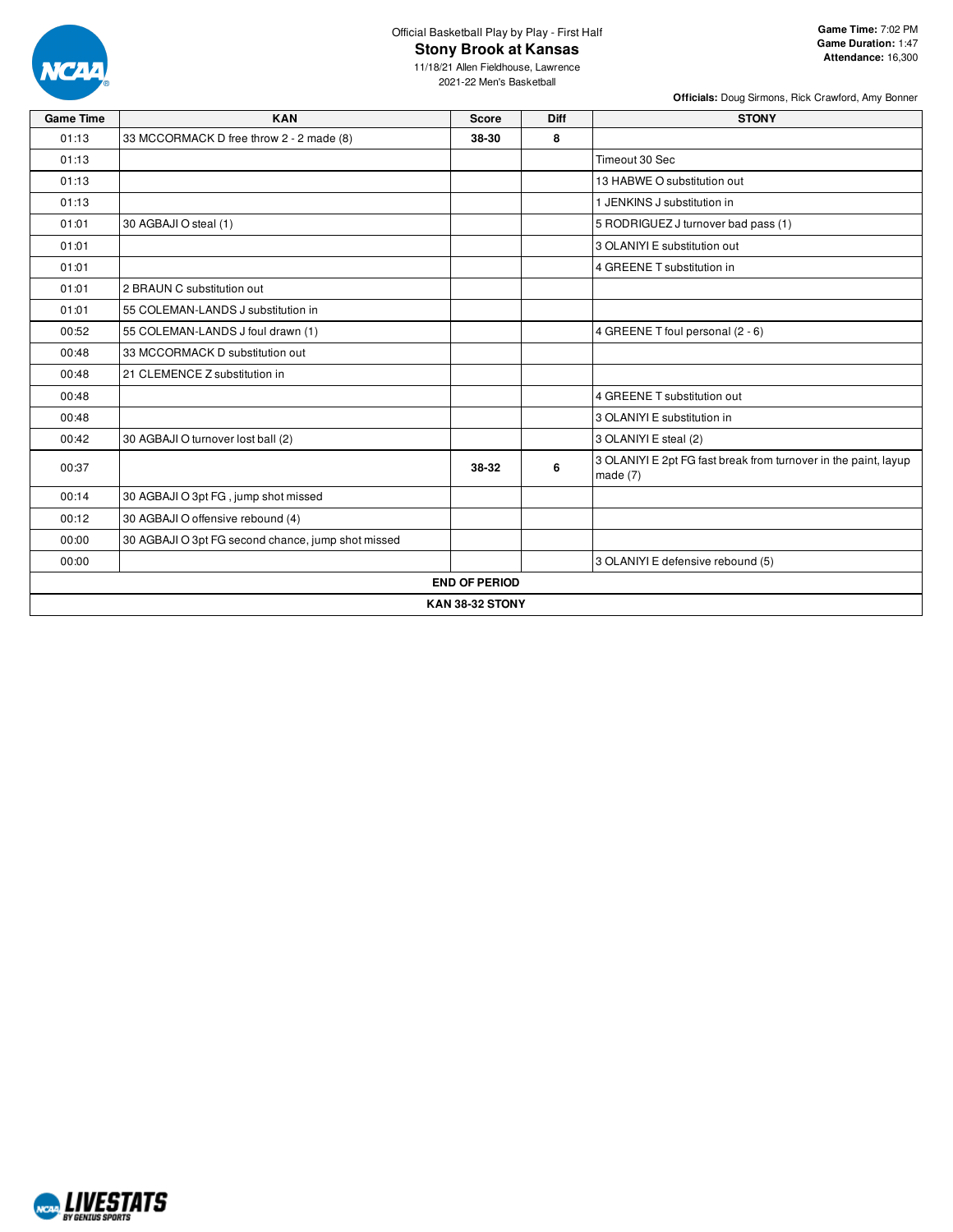

## Official Basketball Play by Play - First Half **Stony Brook at Kansas**

**Officials:** Doug Sirmons, Rick Crawford, Amy Bonner

| <b>Game Time</b> | <b>KAN</b>                                         | <b>Score</b>           | <b>Diff</b> | <b>STONY</b>                                                                  |
|------------------|----------------------------------------------------|------------------------|-------------|-------------------------------------------------------------------------------|
| 01:13            | 33 MCCORMACK D free throw 2 - 2 made (8)           | 38-30                  | 8           |                                                                               |
| 01:13            |                                                    |                        |             | Timeout 30 Sec                                                                |
| 01:13            |                                                    |                        |             | 13 HABWE O substitution out                                                   |
| 01:13            |                                                    |                        |             | 1 JENKINS J substitution in                                                   |
| 01:01            | 30 AGBAJI O steal (1)                              |                        |             | 5 RODRIGUEZ J turnover bad pass (1)                                           |
| 01:01            |                                                    |                        |             | 3 OLANIYI E substitution out                                                  |
| 01:01            |                                                    |                        |             | 4 GREENE T substitution in                                                    |
| 01:01            | 2 BRAUN C substitution out                         |                        |             |                                                                               |
| 01:01            | 55 COLEMAN-LANDS J substitution in                 |                        |             |                                                                               |
| 00:52            | 55 COLEMAN-LANDS J foul drawn (1)                  |                        |             | 4 GREENE T foul personal (2 - 6)                                              |
| 00:48            | 33 MCCORMACK D substitution out                    |                        |             |                                                                               |
| 00:48            | 21 CLEMENCE Z substitution in                      |                        |             |                                                                               |
| 00:48            |                                                    |                        |             | 4 GREENE T substitution out                                                   |
| 00:48            |                                                    |                        |             | 3 OLANIYI E substitution in                                                   |
| 00:42            | 30 AGBAJI O turnover lost ball (2)                 |                        |             | 3 OLANIYI E steal (2)                                                         |
| 00:37            |                                                    | 38-32                  | 6           | 3 OLANIYI E 2pt FG fast break from turnover in the paint, layup<br>made $(7)$ |
| 00:14            | 30 AGBAJI O 3pt FG, jump shot missed               |                        |             |                                                                               |
| 00:12            | 30 AGBAJI O offensive rebound (4)                  |                        |             |                                                                               |
| 00:00            | 30 AGBAJI O 3pt FG second chance, jump shot missed |                        |             |                                                                               |
| 00:00            |                                                    |                        |             | 3 OLANIYI E defensive rebound (5)                                             |
|                  |                                                    | <b>END OF PERIOD</b>   |             |                                                                               |
|                  |                                                    | <b>KAN 38-32 STONY</b> |             |                                                                               |

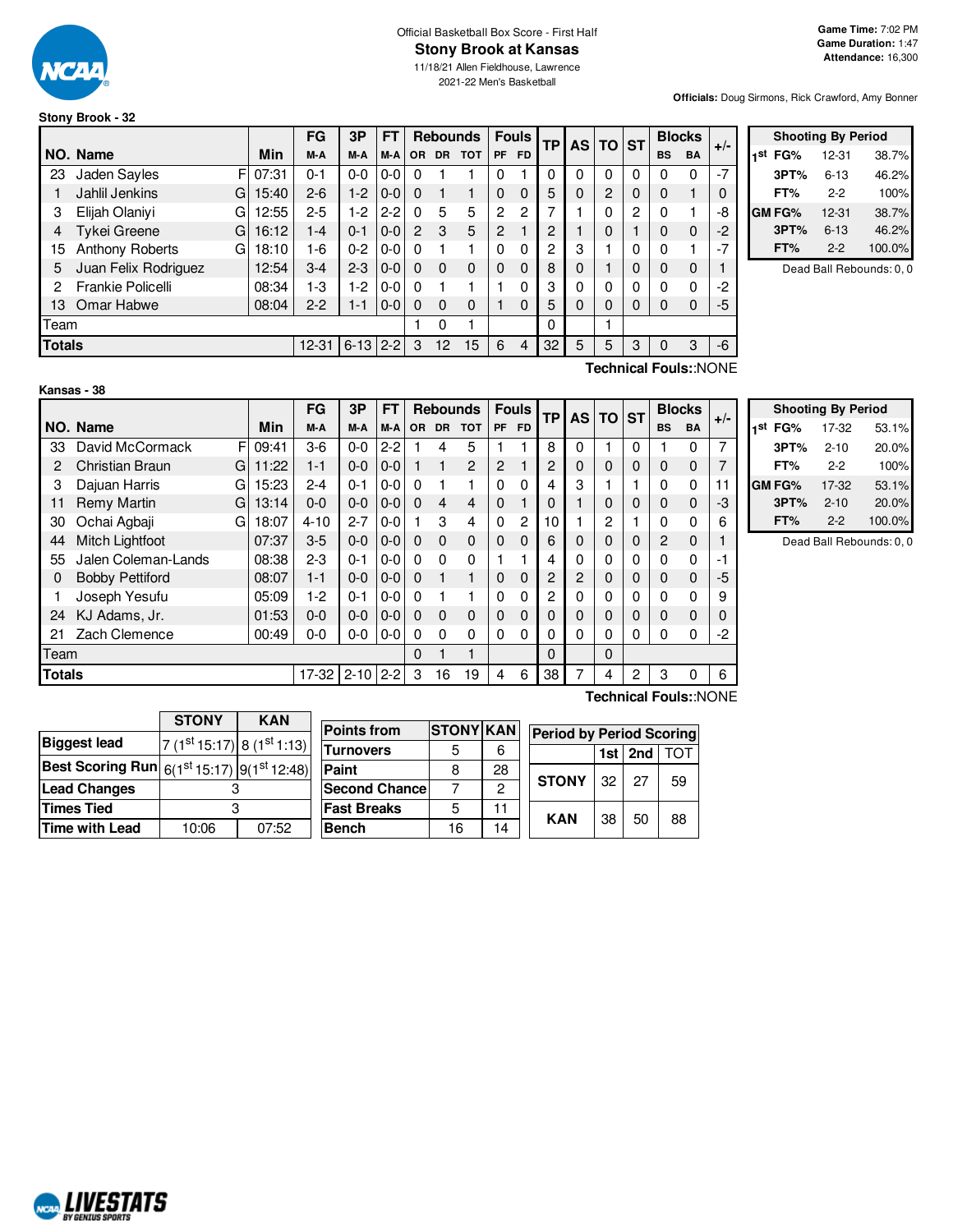

# Official Basketball Box Score - First Half **Stony Brook at Kansas**

11/18/21 Allen Fieldhouse, Lawrence 2021-22 Men's Basketball

**Officials:** Doug Sirmons, Rick Crawford, Amy Bonner

# **Stony Brook - 32**

|               |                      |            | FG        | 3P       | FТ      |          |                 | <b>Rebounds</b> |               | <b>Fouls</b> | ТP       |          | AS TO | <b>ST</b> |           | <b>Blocks</b> | $+/-$ |
|---------------|----------------------|------------|-----------|----------|---------|----------|-----------------|-----------------|---------------|--------------|----------|----------|-------|-----------|-----------|---------------|-------|
|               | NO. Name             | <b>Min</b> | M-A       | M-A      | M-A     | OR.      | <b>DR</b>       | <b>TOT</b>      | PF            | <b>FD</b>    |          |          |       |           | <b>BS</b> | <b>BA</b>     |       |
| 23            | Jaden Sayles<br>F    | 07:31      | $0 - 1$   | $0 - 0$  | $0-0$   | 0        |                 |                 |               |              | 0        |          | 0     | 0         |           | $\Omega$      | $-7$  |
|               | Jahlil Jenkins<br>G  | 15:40      | $2 - 6$   | $1-2$    | $0-0$   | $\Omega$ |                 |                 | 0             | $\Omega$     | 5        | 0        | 2     | $\Omega$  | 0         |               | 0     |
| 3             | Elijah Olaniyi<br>G  | 12:55      | $2 - 5$   | $1-2$    | $2 - 2$ | $\Omega$ | 5               | 5               | $\mathcal{P}$ | 2            |          |          | 0     | 2         | $\Omega$  |               | -8    |
| 4             | Tykei Greene<br>GI   | 16:12      | $1 - 4$   | $0 - 1$  | $0 - 0$ | 2        | 3               | 5               | 2             |              | 2        |          | 0     |           | 0         | $\Omega$      | $-2$  |
| 15            | Anthony Roberts<br>G | 18:10      | $1 - 6$   | $0 - 2$  | $0 - 0$ | $\Omega$ |                 |                 | O             | $\Omega$     | っ        | 3        |       | 0         | 0         |               | $-7$  |
| 5             | Juan Felix Rodriguez | 12:54      | $3 - 4$   | $2 - 3$  | $0-0$   | $\Omega$ | $\Omega$        | $\mathbf{0}$    | $\Omega$      | $\Omega$     | 8        | $\Omega$ |       | 0         | $\Omega$  | $\mathbf 0$   |       |
| 2             | Frankie Policelli    | 08:34      | $1-3$     | 1-2      | $0 - 0$ | $\Omega$ |                 |                 |               | O            | 3        |          | O     | $\Omega$  | O         | $\Omega$      | $-2$  |
| 13            | Omar Habwe           | 08:04      | $2 - 2$   | $1 - 1$  | $0 - 0$ | $\Omega$ | 0               | $\mathbf{0}$    |               | $\Omega$     | 5        | 0        | 0     | $\Omega$  | 0         | $\mathbf 0$   | -5    |
| Team          |                      |            |           |          |         |          | 0               |                 |               |              | $\Omega$ |          |       |           |           |               |       |
| <b>Totals</b> |                      |            | $12 - 31$ | $6 - 13$ | $2 - 2$ | 3        | 12 <sup>°</sup> | 15              | 6             | 4            | 32       | 5        | 5     | 3         | $\Omega$  | 3             | $-6$  |

|     |               | <b>Shooting By Period</b> |        |
|-----|---------------|---------------------------|--------|
| 1st | FG%           | 12-31                     | 38.7%  |
|     | 3PT%          | $6 - 13$                  | 46.2%  |
|     | FT%           | $2-2$                     | 100%   |
|     | <b>GM FG%</b> | 12-31                     | 38.7%  |
|     | 3PT%          | $6 - 13$                  | 46.2%  |
|     | FT%           | $2-2$                     | 100.0% |

Dead Ball Rebounds: 0, 0

**Technical Fouls:**:NONE

|               |                             |       | FG       | 3P       | FT      |          |           | <b>Rebounds</b> |           | <b>Fouls</b> | <b>TP</b> | AS I     | TO ST    |   | <b>Blocks</b>         |             | $+/-$ |
|---------------|-----------------------------|-------|----------|----------|---------|----------|-----------|-----------------|-----------|--------------|-----------|----------|----------|---|-----------------------|-------------|-------|
|               | NO. Name                    | Min   | M-A      | M-A      | M-A     | OR.      | <b>DR</b> | <b>TOT</b>      | <b>PF</b> | FD.          |           |          |          |   | <b>BS</b>             | <b>BA</b>   |       |
| 33            | F<br>David McCormack        | 09:41 | $3-6$    | $0-0$    | $2 - 2$ |          | 4         | 5               |           |              | 8         | $\Omega$ |          | 0 |                       | 0           | 7     |
| 2             | <b>Christian Braun</b><br>G | 11:22 | $1 - 1$  | $0-0$    | $0-0$   |          |           | $\overline{c}$  | 2         |              | 2         | 0        | 0        | 0 | $\Omega$              | 0           |       |
| 3             | Dajuan Harris<br>G          | 15:23 | $2 - 4$  | $0 - 1$  | $0-0$   | $\Omega$ |           | 1               | 0         | $\Omega$     | 4         | 3        |          |   | 0                     | 0           |       |
| 11            | Remy Martin<br>G            | 13:14 | $0 - 0$  | $0-0$    | $0 - 0$ | $\Omega$ | 4         | 4               | $\Omega$  |              |           |          | 0        | 0 | $\Omega$              | $\mathbf 0$ | -3    |
| 30            | Ochai Agbaji<br>G           | 18:07 | $4 - 10$ | $2 - 7$  | $0-0$   |          | 3         | 4               | $\Omega$  | 2            | 10        |          | 2        |   | O                     | 0           | 6     |
| 44            | Mitch Lightfoot             | 07:37 | $3-5$    | $0 - 0$  | $0 - 0$ | $\Omega$ | $\Omega$  | $\mathbf 0$     | 0         | 0            | 6         | 0        | 0        | 0 | $\overline{2}$        | $\mathbf 0$ |       |
| 55            | Jalen Coleman-Lands         | 08:38 | $2 - 3$  | $0 - 1$  | $0-0$   | $\Omega$ | 0         | 0               |           |              | 4         | 0        | 0        | 0 | $\Omega$              | 0           |       |
| 0             | <b>Bobby Pettiford</b>      | 08:07 | $1 - 1$  | $0-0$    | $0-0$   | $\Omega$ |           | 1               | 0         | $\mathbf 0$  | 2         | 2        | 0        | 0 | 0                     | $\mathbf 0$ | -5    |
|               | Joseph Yesufu               | 05:09 | $1-2$    | $0 - 1$  | $0-0$   | $\Omega$ |           | 1               | $\Omega$  | $\Omega$     | 2         | 0        | 0        | 0 | 0                     | 0           | 9     |
| 24            | KJ Adams, Jr.               | 01:53 | $0 - 0$  | $0-0$    | $0-0$   | $\Omega$ | $\Omega$  | $\mathbf 0$     | $\Omega$  | $\Omega$     |           | 0        | 0        | 0 | $\Omega$              | $\mathbf 0$ |       |
| 21            | Zach Clemence               | 00:49 | $0 - 0$  | $0-0$    | $0-0$   | $\Omega$ | $\Omega$  | 0               | $\Omega$  | $\Omega$     |           | $\Omega$ | 0        | 0 | 0                     | 0           | -2    |
| Team          |                             |       |          |          |         | $\Omega$ |           | $\blacksquare$  |           |              | $\Omega$  |          | $\Omega$ |   |                       |             |       |
| <b>Totals</b> |                             |       | $17-32$  | $2 - 10$ | $2 - 2$ | 3        | 16        | 19              | 4         | 6            | 38        | 7        | 4        | 2 | 3                     | 0           | 6     |
|               |                             |       |          |          |         |          |           |                 |           |              |           |          |          |   | Technical Fouls::NONE |             |       |

**Shooting By Period 1 st FG%** 17-32 53.1% **3PT%** 2-10 20.0% **FT%** 2-2 100% **GM FG%** 17-32 53.1% **3PT%** 2-10 20.0%

> **FT%** 2-2 100.0% Dead Ball Rebounds: 0, 0

|                                                                                  | <b>STONY</b>             | <b>KAN</b> | <b>Points from</b>    | <b>STONY KAN</b> |              |                                 |     |     |                 |
|----------------------------------------------------------------------------------|--------------------------|------------|-----------------------|------------------|--------------|---------------------------------|-----|-----|-----------------|
| <b>Biggest lead</b>                                                              |                          |            |                       |                  |              | <b>Period by Period Scoring</b> |     |     |                 |
|                                                                                  | $7(1st15:17) 8(1st1:13)$ |            | <b>Turnovers</b>      | 5                | 6            |                                 | 1st | 2nd | TO <sup>-</sup> |
| Best Scoring Run $ \mathfrak{g}_{(1^\text{st}15:17)} _9$ (1 <sup>st</sup> 12:48) |                          |            | Paint                 |                  | 28           |                                 |     |     |                 |
| <b>Lead Changes</b>                                                              |                          |            | <b>Second Chancel</b> |                  | <sup>o</sup> | <b>STONY</b>                    | 32  | 27  | 59              |
| Times Tied                                                                       |                          |            | <b>Fast Breaks</b>    | 5                | 11           | <b>KAN</b>                      | 38  | 50  | 88              |
| Time with Lead                                                                   | 10:06                    | 07:52      | <b>Bench</b>          | 16               | 14           |                                 |     |     |                 |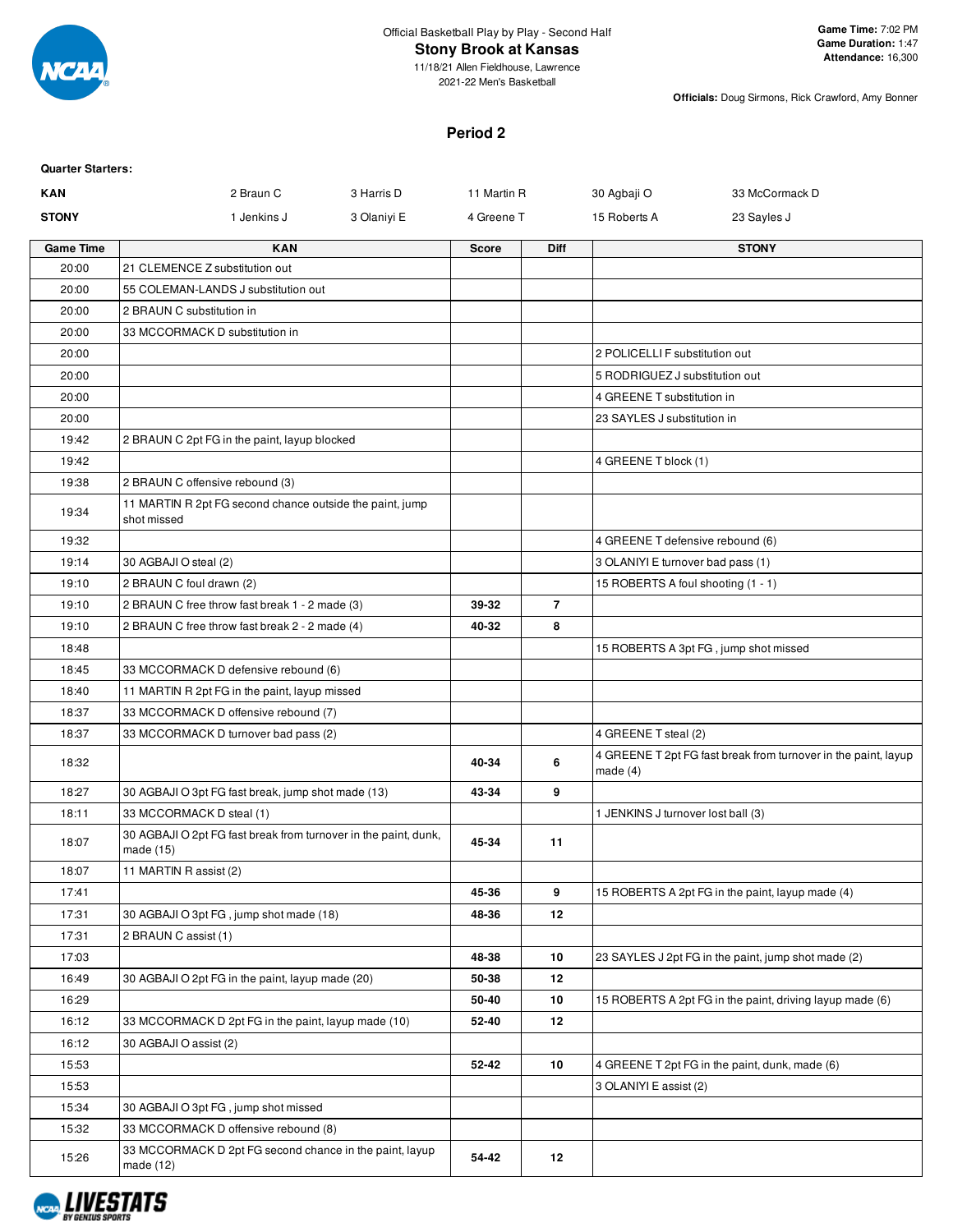

# **Stony Brook at Kansas**

11/18/21 Allen Fieldhouse, Lawrence 2021-22 Men's Basketball

**Officials:** Doug Sirmons, Rick Crawford, Amy Bonner

#### **Period 2**

| <b>Quarter Starters:</b> |                                                                              |             |              |                |                                    |                                                                |
|--------------------------|------------------------------------------------------------------------------|-------------|--------------|----------------|------------------------------------|----------------------------------------------------------------|
| <b>KAN</b>               | 2 Braun C                                                                    | 3 Harris D  | 11 Martin R  |                | 30 Agbaji O                        | 33 McCormack D                                                 |
| <b>STONY</b>             | 1 Jenkins J                                                                  | 3 Olaniyi E | 4 Greene T   |                | 15 Roberts A                       | 23 Sayles J                                                    |
| <b>Game Time</b>         | <b>KAN</b>                                                                   |             | <b>Score</b> | <b>Diff</b>    |                                    | <b>STONY</b>                                                   |
| 20:00                    | 21 CLEMENCE Z substitution out                                               |             |              |                |                                    |                                                                |
| 20:00                    | 55 COLEMAN-LANDS J substitution out                                          |             |              |                |                                    |                                                                |
| 20:00                    | 2 BRAUN C substitution in                                                    |             |              |                |                                    |                                                                |
| 20:00                    | 33 MCCORMACK D substitution in                                               |             |              |                |                                    |                                                                |
| 20:00                    |                                                                              |             |              |                | 2 POLICELLI F substitution out     |                                                                |
| 20:00                    |                                                                              |             |              |                | 5 RODRIGUEZ J substitution out     |                                                                |
| 20:00                    |                                                                              |             |              |                | 4 GREENE T substitution in         |                                                                |
| 20:00                    |                                                                              |             |              |                | 23 SAYLES J substitution in        |                                                                |
| 19:42                    | 2 BRAUN C 2pt FG in the paint, layup blocked                                 |             |              |                |                                    |                                                                |
| 19:42                    |                                                                              |             |              |                | 4 GREENE T block (1)               |                                                                |
| 19:38                    | 2 BRAUN C offensive rebound (3)                                              |             |              |                |                                    |                                                                |
| 19:34                    | 11 MARTIN R 2pt FG second chance outside the paint, jump<br>shot missed      |             |              |                |                                    |                                                                |
| 19:32                    |                                                                              |             |              |                | 4 GREENE T defensive rebound (6)   |                                                                |
| 19:14                    | 30 AGBAJI O steal (2)                                                        |             |              |                | 3 OLANIYI E turnover bad pass (1)  |                                                                |
| 19:10                    | 2 BRAUN C foul drawn (2)                                                     |             |              |                | 15 ROBERTS A foul shooting (1 - 1) |                                                                |
| 19:10                    | 2 BRAUN C free throw fast break 1 - 2 made (3)                               |             | 39-32        | $\overline{7}$ |                                    |                                                                |
| 19:10                    | 2 BRAUN C free throw fast break 2 - 2 made (4)                               |             | 40-32        | 8              |                                    |                                                                |
| 18:48                    |                                                                              |             |              |                |                                    | 15 ROBERTS A 3pt FG, jump shot missed                          |
| 18:45                    | 33 MCCORMACK D defensive rebound (6)                                         |             |              |                |                                    |                                                                |
| 18:40                    | 11 MARTIN R 2pt FG in the paint, layup missed                                |             |              |                |                                    |                                                                |
| 18:37                    | 33 MCCORMACK D offensive rebound (7)                                         |             |              |                |                                    |                                                                |
| 18:37                    | 33 MCCORMACK D turnover bad pass (2)                                         |             |              |                | 4 GREENE T steal (2)               |                                                                |
| 18:32                    |                                                                              |             | 40-34        | 6              | made $(4)$                         | 4 GREENE T 2pt FG fast break from turnover in the paint, layup |
| 18:27                    | 30 AGBAJI O 3pt FG fast break, jump shot made (13)                           |             | 43-34        | 9              |                                    |                                                                |
| 18:11                    | 33 MCCORMACK D steal (1)                                                     |             |              |                | 1 JENKINS J turnover lost ball (3) |                                                                |
| 18:07                    | 30 AGBAJI O 2pt FG fast break from turnover in the paint, dunk,<br>made (15) |             | 45-34        | 11             |                                    |                                                                |
| 18:07                    | 11 MARTIN R assist (2)                                                       |             |              |                |                                    |                                                                |
| 17:41                    |                                                                              |             | 45-36        | 9              |                                    | 15 ROBERTS A 2pt FG in the paint, layup made (4)               |
| 17:31                    | 30 AGBAJI O 3pt FG, jump shot made (18)                                      |             | 48-36        | 12             |                                    |                                                                |
| 17:31                    | 2 BRAUN C assist (1)                                                         |             |              |                |                                    |                                                                |
| 17:03                    |                                                                              |             | 48-38        | 10             |                                    | 23 SAYLES J 2pt FG in the paint, jump shot made (2)            |
| 16:49                    | 30 AGBAJI O 2pt FG in the paint, layup made (20)                             |             | 50-38        | 12             |                                    |                                                                |
| 16:29                    |                                                                              |             | 50-40        | 10             |                                    | 15 ROBERTS A 2pt FG in the paint, driving layup made (6)       |
| 16:12                    | 33 MCCORMACK D 2pt FG in the paint, layup made (10)                          |             | 52-40        | 12             |                                    |                                                                |
| 16:12                    | 30 AGBAJI O assist (2)                                                       |             |              |                |                                    |                                                                |
| 15:53                    |                                                                              |             | 52-42        | 10             |                                    | 4 GREENE T 2pt FG in the paint, dunk, made (6)                 |
| 15:53                    |                                                                              |             |              |                | 3 OLANIYI E assist (2)             |                                                                |
| 15:34                    | 30 AGBAJI O 3pt FG, jump shot missed                                         |             |              |                |                                    |                                                                |
| 15:32                    | 33 MCCORMACK D offensive rebound (8)                                         |             |              |                |                                    |                                                                |
| 15:26                    | 33 MCCORMACK D 2pt FG second chance in the paint, layup<br>made $(12)$       |             | 54-42        | 12             |                                    |                                                                |

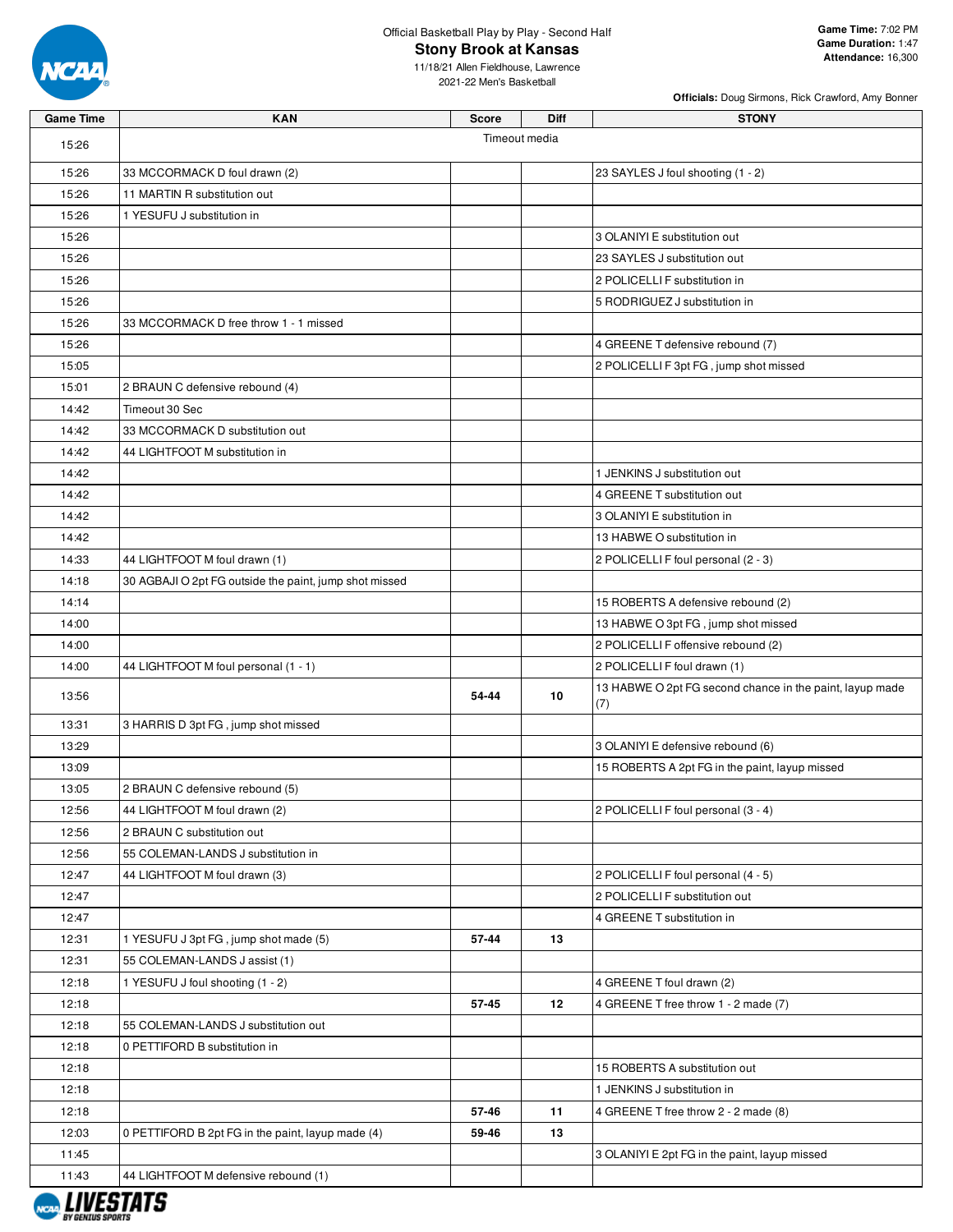

**Stony Brook at Kansas**

**Officials:** Doug Sirmons, Rick Crawford, Amy Bonner

| <b>Game Time</b> | <b>KAN</b>                                             | Score         | <b>Diff</b> | <b>STONY</b>                                                    |
|------------------|--------------------------------------------------------|---------------|-------------|-----------------------------------------------------------------|
| 15:26            |                                                        | Timeout media |             |                                                                 |
| 15:26            | 33 MCCORMACK D foul drawn (2)                          |               |             | 23 SAYLES J foul shooting (1 - 2)                               |
| 15:26            | 11 MARTIN R substitution out                           |               |             |                                                                 |
| 15:26            | 1 YESUFU J substitution in                             |               |             |                                                                 |
| 15:26            |                                                        |               |             | 3 OLANIYI E substitution out                                    |
| 15:26            |                                                        |               |             | 23 SAYLES J substitution out                                    |
| 15:26            |                                                        |               |             | 2 POLICELLI F substitution in                                   |
| 15:26            |                                                        |               |             | 5 RODRIGUEZ J substitution in                                   |
| 15:26            | 33 MCCORMACK D free throw 1 - 1 missed                 |               |             |                                                                 |
| 15:26            |                                                        |               |             | 4 GREENE T defensive rebound (7)                                |
| 15:05            |                                                        |               |             | 2 POLICELLI F 3pt FG, jump shot missed                          |
| 15:01            | 2 BRAUN C defensive rebound (4)                        |               |             |                                                                 |
| 14:42            | Timeout 30 Sec                                         |               |             |                                                                 |
| 14:42            | 33 MCCORMACK D substitution out                        |               |             |                                                                 |
| 14:42            | 44 LIGHTFOOT M substitution in                         |               |             |                                                                 |
| 14:42            |                                                        |               |             | 1 JENKINS J substitution out                                    |
| 14:42            |                                                        |               |             | 4 GREENE T substitution out                                     |
| 14:42            |                                                        |               |             | 3 OLANIYI E substitution in                                     |
| 14:42            |                                                        |               |             | 13 HABWE O substitution in                                      |
| 14:33            | 44 LIGHTFOOT M foul drawn (1)                          |               |             | 2 POLICELLI F foul personal (2 - 3)                             |
| 14:18            | 30 AGBAJI O 2pt FG outside the paint, jump shot missed |               |             |                                                                 |
| 14:14            |                                                        |               |             | 15 ROBERTS A defensive rebound (2)                              |
| 14:00            |                                                        |               |             | 13 HABWE O 3pt FG, jump shot missed                             |
| 14:00            |                                                        |               |             | 2 POLICELLI F offensive rebound (2)                             |
| 14:00            | 44 LIGHTFOOT M foul personal (1 - 1)                   |               |             | 2 POLICELLI F foul drawn (1)                                    |
| 13:56            |                                                        | 54-44         | 10          | 13 HABWE O 2pt FG second chance in the paint, layup made<br>(7) |
| 13:31            | 3 HARRIS D 3pt FG, jump shot missed                    |               |             |                                                                 |
| 13:29            |                                                        |               |             | 3 OLANIYI E defensive rebound (6)                               |
| 13:09            |                                                        |               |             | 15 ROBERTS A 2pt FG in the paint, layup missed                  |
| 13:05            | 2 BRAUN C defensive rebound (5)                        |               |             |                                                                 |
| 12:56            | 44 LIGHTFOOT M foul drawn (2)                          |               |             | 2 POLICELLI F foul personal (3 - 4)                             |
| 12:56            | 2 BRAUN C substitution out                             |               |             |                                                                 |
| 12:56            | 55 COLEMAN-LANDS J substitution in                     |               |             |                                                                 |
| 12:47            | 44 LIGHTFOOT M foul drawn (3)                          |               |             | 2 POLICELLI F foul personal (4 - 5)                             |
| 12:47            |                                                        |               |             | 2 POLICELLI F substitution out                                  |
| 12:47            |                                                        |               |             | 4 GREENE T substitution in                                      |
| 12:31            | 1 YESUFU J 3pt FG, jump shot made (5)                  | 57-44         | 13          |                                                                 |
| 12:31            | 55 COLEMAN-LANDS J assist (1)                          |               |             |                                                                 |
| 12:18            | 1 YESUFU J foul shooting (1 - 2)                       |               | 12          | 4 GREENE T foul drawn (2)                                       |
| 12:18<br>12:18   | 55 COLEMAN-LANDS J substitution out                    | 57-45         |             | 4 GREENE T free throw 1 - 2 made (7)                            |
| 12:18            | 0 PETTIFORD B substitution in                          |               |             |                                                                 |
| 12:18            |                                                        |               |             | 15 ROBERTS A substitution out                                   |
| 12:18            |                                                        |               |             | 1 JENKINS J substitution in                                     |
| 12:18            |                                                        | 57-46         | 11          | 4 GREENE T free throw 2 - 2 made (8)                            |
| 12:03            | 0 PETTIFORD B 2pt FG in the paint, layup made (4)      | 59-46         | 13          |                                                                 |
| 11:45            |                                                        |               |             | 3 OLANIYI E 2pt FG in the paint, layup missed                   |
| 11:43            | 44 LIGHTFOOT M defensive rebound (1)                   |               |             |                                                                 |
|                  |                                                        |               |             |                                                                 |

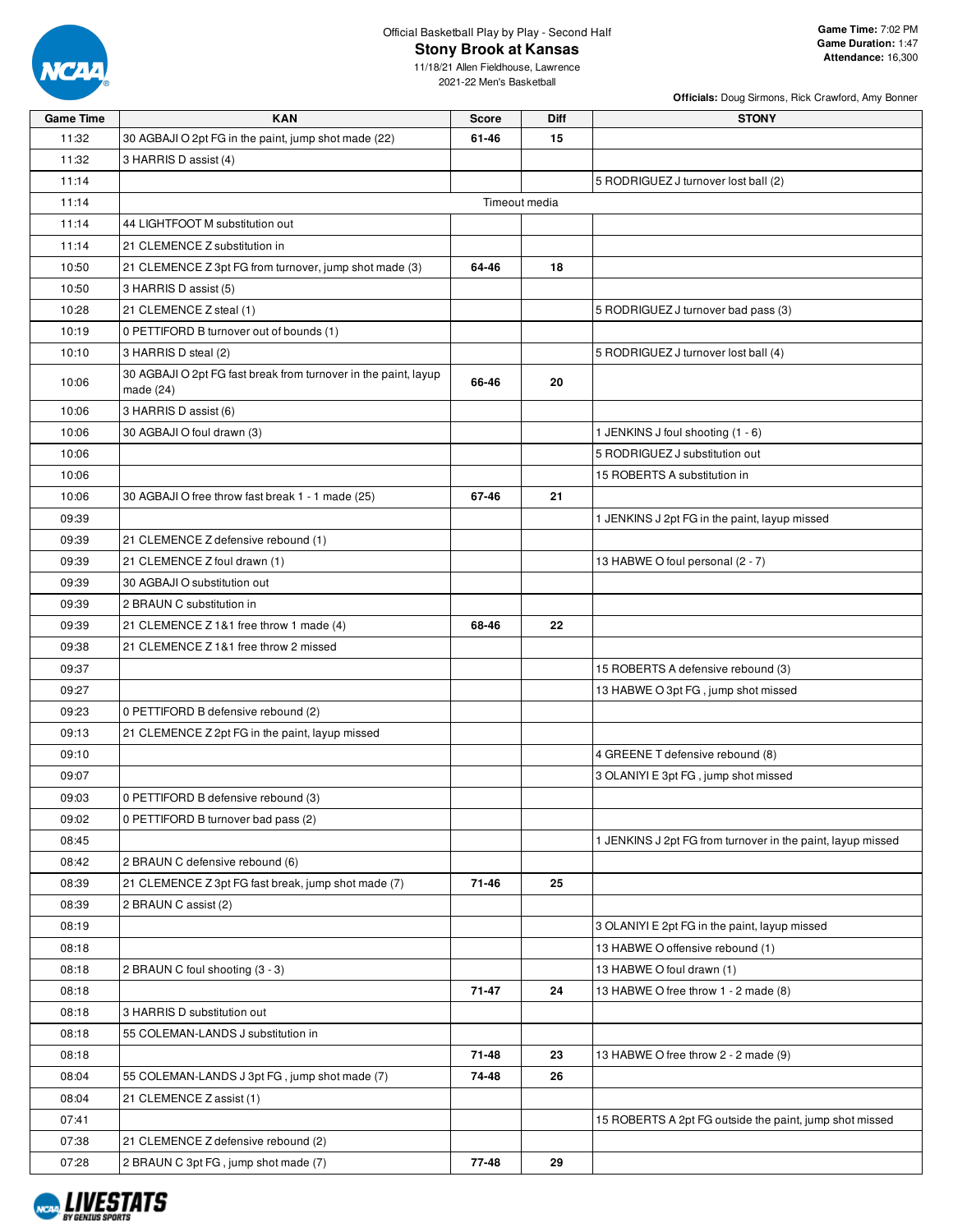

**Stony Brook at Kansas**

11/18/21 Allen Fieldhouse, Lawrence 2021-22 Men's Basketball

**Officials:** Doug Sirmons, Rick Crawford, Amy Bonner

| <b>Game Time</b> | <b>KAN</b>                                                                     | <b>Score</b>  | <b>Diff</b> | <b>STONY</b>                                                |
|------------------|--------------------------------------------------------------------------------|---------------|-------------|-------------------------------------------------------------|
| 11:32            | 30 AGBAJI O 2pt FG in the paint, jump shot made (22)                           | 61-46         | 15          |                                                             |
| 11:32            | 3 HARRIS D assist (4)                                                          |               |             |                                                             |
| 11:14            |                                                                                |               |             | 5 RODRIGUEZ J turnover lost ball (2)                        |
| 11:14            |                                                                                | Timeout media |             |                                                             |
| 11:14            | 44 LIGHTFOOT M substitution out                                                |               |             |                                                             |
| 11:14            | 21 CLEMENCE Z substitution in                                                  |               |             |                                                             |
| 10:50            | 21 CLEMENCE Z 3pt FG from turnover, jump shot made (3)                         | 64-46         | 18          |                                                             |
| 10:50            | 3 HARRIS D assist (5)                                                          |               |             |                                                             |
| 10:28            | 21 CLEMENCE Z steal (1)                                                        |               |             | 5 RODRIGUEZ J turnover bad pass (3)                         |
| 10:19            | 0 PETTIFORD B turnover out of bounds (1)                                       |               |             |                                                             |
| 10:10            | 3 HARRIS D steal (2)                                                           |               |             | 5 RODRIGUEZ J turnover lost ball (4)                        |
| 10:06            | 30 AGBAJI O 2pt FG fast break from turnover in the paint, layup<br>made $(24)$ | 66-46         | 20          |                                                             |
| 10:06            | 3 HARRIS D assist (6)                                                          |               |             |                                                             |
| 10:06            | 30 AGBAJI O foul drawn (3)                                                     |               |             | 1 JENKINS J foul shooting (1 - 6)                           |
| 10:06            |                                                                                |               |             | 5 RODRIGUEZ J substitution out                              |
| 10:06            |                                                                                |               |             | 15 ROBERTS A substitution in                                |
| 10:06            | 30 AGBAJI O free throw fast break 1 - 1 made (25)                              | 67-46         | 21          |                                                             |
| 09:39            |                                                                                |               |             | 1 JENKINS J 2pt FG in the paint, layup missed               |
| 09:39            | 21 CLEMENCE Z defensive rebound (1)                                            |               |             |                                                             |
| 09:39            | 21 CLEMENCE Z foul drawn (1)                                                   |               |             | 13 HABWE O foul personal (2 - 7)                            |
| 09:39            | 30 AGBAJI O substitution out                                                   |               |             |                                                             |
| 09:39            | 2 BRAUN C substitution in                                                      |               |             |                                                             |
| 09:39            | 21 CLEMENCE Z 1&1 free throw 1 made (4)                                        | 68-46         | 22          |                                                             |
| 09:38            | 21 CLEMENCE Z 1&1 free throw 2 missed                                          |               |             |                                                             |
| 09:37            |                                                                                |               |             | 15 ROBERTS A defensive rebound (3)                          |
| 09:27            |                                                                                |               |             | 13 HABWE O 3pt FG, jump shot missed                         |
| 09:23            | 0 PETTIFORD B defensive rebound (2)                                            |               |             |                                                             |
| 09:13            | 21 CLEMENCE Z 2pt FG in the paint, layup missed                                |               |             |                                                             |
| 09:10            |                                                                                |               |             | 4 GREENE T defensive rebound (8)                            |
| 09:07            |                                                                                |               |             | 3 OLANIYI E 3pt FG, jump shot missed                        |
| 09:03            | 0 PETTIFORD B defensive rebound (3)                                            |               |             |                                                             |
| 09:02            | 0 PETTIFORD B turnover bad pass (2)                                            |               |             |                                                             |
| 08:45            |                                                                                |               |             | 1 JENKINS J 2pt FG from turnover in the paint, layup missed |
| 08:42            | 2 BRAUN C defensive rebound (6)                                                |               |             |                                                             |
| 08:39            | 21 CLEMENCE Z 3pt FG fast break, jump shot made (7)                            | 71-46         | 25          |                                                             |
| 08:39            | 2 BRAUN C assist (2)                                                           |               |             |                                                             |
| 08:19            |                                                                                |               |             | 3 OLANIYI E 2pt FG in the paint, layup missed               |
| 08:18            |                                                                                |               |             | 13 HABWE O offensive rebound (1)                            |
| 08:18            | 2 BRAUN C foul shooting (3 - 3)                                                |               |             | 13 HABWE O foul drawn (1)                                   |
| 08:18            |                                                                                | 71-47         | 24          | 13 HABWE O free throw 1 - 2 made (8)                        |
| 08:18            | 3 HARRIS D substitution out                                                    |               |             |                                                             |
| 08:18            | 55 COLEMAN-LANDS J substitution in                                             |               |             |                                                             |
| 08:18            |                                                                                | 71-48         | 23          | 13 HABWE O free throw 2 - 2 made (9)                        |
| 08:04            | 55 COLEMAN-LANDS J 3pt FG, jump shot made (7)                                  | 74-48         | 26          |                                                             |
| 08:04            | 21 CLEMENCE Z assist (1)                                                       |               |             |                                                             |
| 07:41            |                                                                                |               |             | 15 ROBERTS A 2pt FG outside the paint, jump shot missed     |
| 07:38            | 21 CLEMENCE Z defensive rebound (2)                                            |               |             |                                                             |
| 07:28            | 2 BRAUN C 3pt FG, jump shot made (7)                                           | 77-48         | 29          |                                                             |

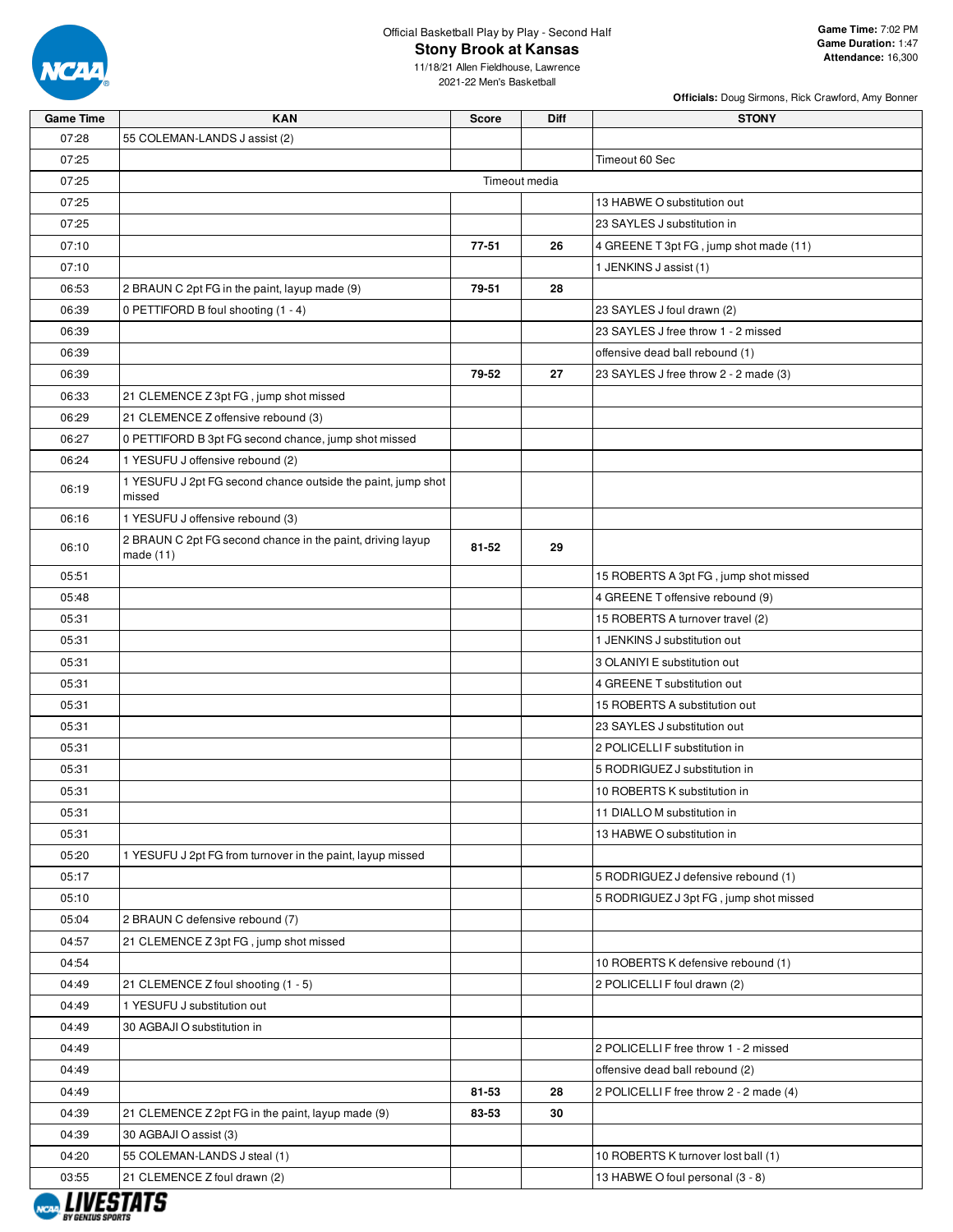

**Stony Brook at Kansas**

**Officials:** Doug Sirmons, Rick Crawford, Amy Bonner

| Game Time | KAN                                                                       | Score | Diff          | <b>STONY</b>                            |
|-----------|---------------------------------------------------------------------------|-------|---------------|-----------------------------------------|
| 07:28     | 55 COLEMAN-LANDS J assist (2)                                             |       |               |                                         |
| 07:25     |                                                                           |       |               | Timeout 60 Sec                          |
| 07:25     |                                                                           |       | Timeout media |                                         |
| 07:25     |                                                                           |       |               | 13 HABWE O substitution out             |
| 07:25     |                                                                           |       |               | 23 SAYLES J substitution in             |
| 07:10     |                                                                           | 77-51 | 26            | 4 GREENE T 3pt FG, jump shot made (11)  |
| 07:10     |                                                                           |       |               | 1 JENKINS J assist (1)                  |
| 06:53     | 2 BRAUN C 2pt FG in the paint, layup made (9)                             | 79-51 | 28            |                                         |
| 06:39     | 0 PETTIFORD B foul shooting (1 - 4)                                       |       |               | 23 SAYLES J foul drawn (2)              |
| 06:39     |                                                                           |       |               | 23 SAYLES J free throw 1 - 2 missed     |
| 06:39     |                                                                           |       |               | offensive dead ball rebound (1)         |
| 06:39     |                                                                           | 79-52 | 27            | 23 SAYLES J free throw 2 - 2 made (3)   |
| 06:33     | 21 CLEMENCE Z 3pt FG, jump shot missed                                    |       |               |                                         |
| 06:29     | 21 CLEMENCE Z offensive rebound (3)                                       |       |               |                                         |
| 06:27     | 0 PETTIFORD B 3pt FG second chance, jump shot missed                      |       |               |                                         |
| 06:24     | 1 YESUFU J offensive rebound (2)                                          |       |               |                                         |
| 06:19     | 1 YESUFU J 2pt FG second chance outside the paint, jump shot<br>missed    |       |               |                                         |
| 06:16     | 1 YESUFU J offensive rebound (3)                                          |       |               |                                         |
| 06:10     | 2 BRAUN C 2pt FG second chance in the paint, driving layup<br>made $(11)$ | 81-52 | 29            |                                         |
| 05:51     |                                                                           |       |               | 15 ROBERTS A 3pt FG, jump shot missed   |
| 05:48     |                                                                           |       |               | 4 GREENE T offensive rebound (9)        |
| 05:31     |                                                                           |       |               | 15 ROBERTS A turnover travel (2)        |
| 05:31     |                                                                           |       |               | 1 JENKINS J substitution out            |
| 05:31     |                                                                           |       |               | 3 OLANIYI E substitution out            |
| 05:31     |                                                                           |       |               | 4 GREENE T substitution out             |
| 05:31     |                                                                           |       |               | 15 ROBERTS A substitution out           |
| 05:31     |                                                                           |       |               | 23 SAYLES J substitution out            |
| 05:31     |                                                                           |       |               | 2 POLICELLI F substitution in           |
| 05:31     |                                                                           |       |               | 5 RODRIGUEZ J substitution in           |
| 05:31     |                                                                           |       |               | 10 ROBERTS K substitution in            |
| 05:31     |                                                                           |       |               | 11 DIALLO M substitution in             |
| 05:31     |                                                                           |       |               | 13 HABWE O substitution in              |
| 05:20     | 1 YESUFU J 2pt FG from turnover in the paint, layup missed                |       |               |                                         |
| 05:17     |                                                                           |       |               | 5 RODRIGUEZ J defensive rebound (1)     |
| 05:10     |                                                                           |       |               | 5 RODRIGUEZ J 3pt FG, jump shot missed  |
| 05:04     | 2 BRAUN C defensive rebound (7)                                           |       |               |                                         |
| 04:57     | 21 CLEMENCE Z 3pt FG, jump shot missed                                    |       |               |                                         |
| 04:54     |                                                                           |       |               | 10 ROBERTS K defensive rebound (1)      |
| 04:49     | 21 CLEMENCE Z foul shooting (1 - 5)                                       |       |               | 2 POLICELLI F foul drawn (2)            |
| 04:49     | 1 YESUFU J substitution out                                               |       |               |                                         |
| 04:49     | 30 AGBAJI O substitution in                                               |       |               |                                         |
| 04:49     |                                                                           |       |               | 2 POLICELLI F free throw 1 - 2 missed   |
| 04:49     |                                                                           |       |               | offensive dead ball rebound (2)         |
| 04:49     |                                                                           | 81-53 | 28            | 2 POLICELLI F free throw 2 - 2 made (4) |
| 04:39     | 21 CLEMENCE Z 2pt FG in the paint, layup made (9)                         | 83-53 | 30            |                                         |
| 04:39     | 30 AGBAJI O assist (3)                                                    |       |               |                                         |
| 04:20     | 55 COLEMAN-LANDS J steal (1)                                              |       |               | 10 ROBERTS K turnover lost ball (1)     |
| 03:55     | 21 CLEMENCE Z foul drawn (2)                                              |       |               | 13 HABWE O foul personal (3 - 8)        |

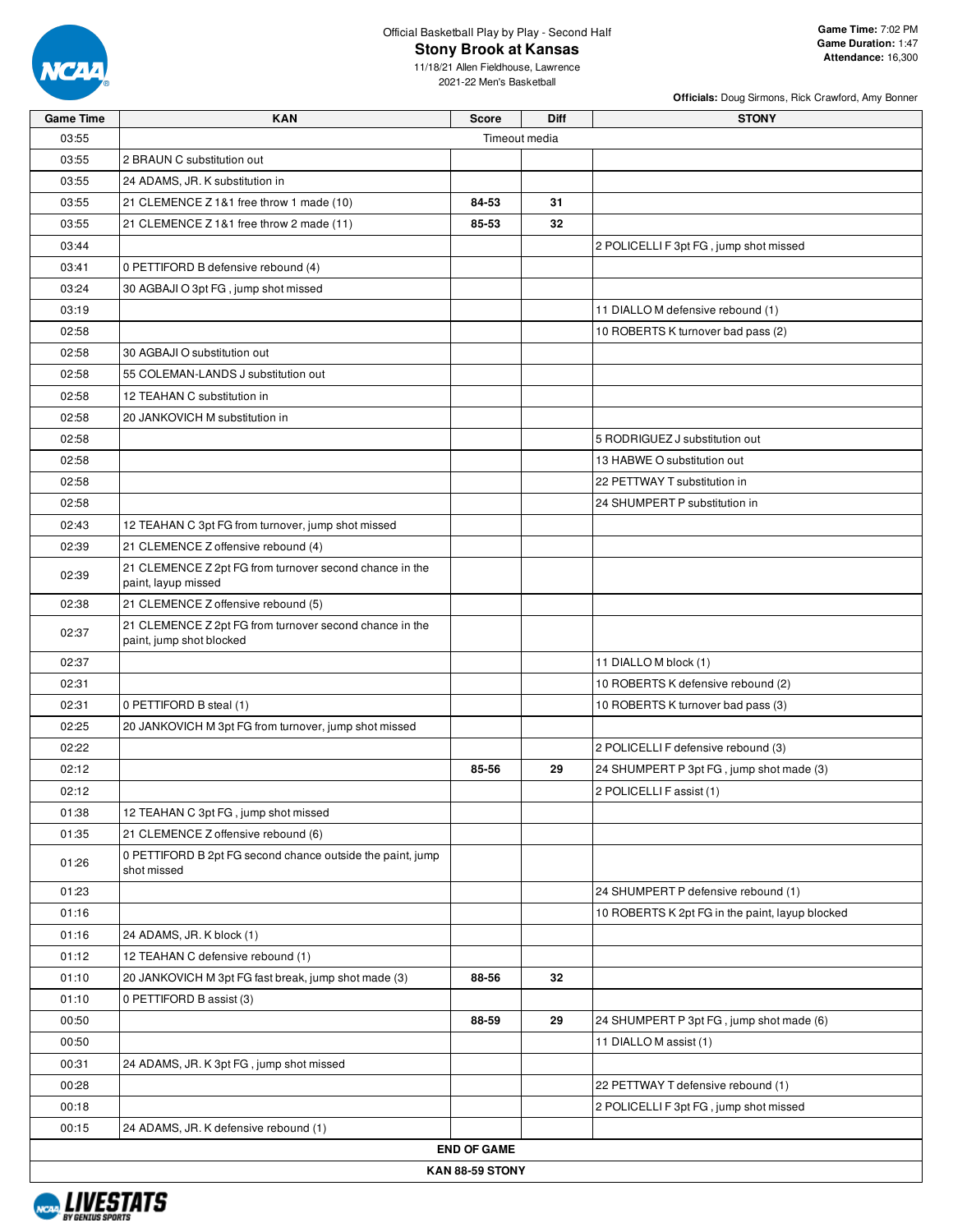

**Stony Brook at Kansas**

**Officials:** Doug Sirmons, Rick Crawford, Amy Bonner

| <b>Game Time</b> | <b>KAN</b>                                                                          | <b>Score</b>       | <b>Diff</b>   | <b>STONY</b>                                    |
|------------------|-------------------------------------------------------------------------------------|--------------------|---------------|-------------------------------------------------|
| 03:55            |                                                                                     |                    | Timeout media |                                                 |
| 03:55            | 2 BRAUN C substitution out                                                          |                    |               |                                                 |
| 03:55            | 24 ADAMS, JR. K substitution in                                                     |                    |               |                                                 |
| 03:55            | 21 CLEMENCE Z 1&1 free throw 1 made (10)                                            | 84-53              | 31            |                                                 |
| 03:55            | 21 CLEMENCE Z 1&1 free throw 2 made (11)                                            | 85-53              | 32            |                                                 |
| 03:44            |                                                                                     |                    |               | 2 POLICELLI F 3pt FG, jump shot missed          |
| 03:41            | 0 PETTIFORD B defensive rebound (4)                                                 |                    |               |                                                 |
| 03:24            | 30 AGBAJI O 3pt FG, jump shot missed                                                |                    |               |                                                 |
| 03:19            |                                                                                     |                    |               | 11 DIALLO M defensive rebound (1)               |
| 02:58            |                                                                                     |                    |               | 10 ROBERTS K turnover bad pass (2)              |
| 02:58            | 30 AGBAJI O substitution out                                                        |                    |               |                                                 |
| 02:58            | 55 COLEMAN-LANDS J substitution out                                                 |                    |               |                                                 |
| 02:58            | 12 TEAHAN C substitution in                                                         |                    |               |                                                 |
| 02:58            | 20 JANKOVICH M substitution in                                                      |                    |               |                                                 |
| 02:58            |                                                                                     |                    |               | 5 RODRIGUEZ J substitution out                  |
| 02:58            |                                                                                     |                    |               | 13 HABWE O substitution out                     |
| 02:58            |                                                                                     |                    |               | 22 PETTWAY T substitution in                    |
| 02:58            |                                                                                     |                    |               | 24 SHUMPERT P substitution in                   |
| 02:43            | 12 TEAHAN C 3pt FG from turnover, jump shot missed                                  |                    |               |                                                 |
| 02:39            | 21 CLEMENCE Z offensive rebound (4)                                                 |                    |               |                                                 |
| 02:39            | 21 CLEMENCE Z 2pt FG from turnover second chance in the<br>paint, layup missed      |                    |               |                                                 |
| 02:38            | 21 CLEMENCE Z offensive rebound (5)                                                 |                    |               |                                                 |
| 02:37            | 21 CLEMENCE Z 2pt FG from turnover second chance in the<br>paint, jump shot blocked |                    |               |                                                 |
| 02:37            |                                                                                     |                    |               | 11 DIALLO M block (1)                           |
| 02:31            |                                                                                     |                    |               | 10 ROBERTS K defensive rebound (2)              |
| 02:31            | 0 PETTIFORD B steal (1)                                                             |                    |               | 10 ROBERTS K turnover bad pass (3)              |
| 02:25            | 20 JANKOVICH M 3pt FG from turnover, jump shot missed                               |                    |               |                                                 |
| 02:22            |                                                                                     |                    |               | 2 POLICELLI F defensive rebound (3)             |
| 02:12            |                                                                                     | 85-56              | 29            | 24 SHUMPERT P 3pt FG, jump shot made (3)        |
| 02:12            |                                                                                     |                    |               | 2 POLICELLI F assist (1)                        |
| 01:38            | 12 TEAHAN C 3pt FG, jump shot missed                                                |                    |               |                                                 |
| 01:35            | 21 CLEMENCE Z offensive rebound (6)                                                 |                    |               |                                                 |
| 01:26            | 0 PETTIFORD B 2pt FG second chance outside the paint, jump<br>shot missed           |                    |               |                                                 |
| 01:23            |                                                                                     |                    |               | 24 SHUMPERT P defensive rebound (1)             |
| 01:16            |                                                                                     |                    |               | 10 ROBERTS K 2pt FG in the paint, layup blocked |
| 01:16            | 24 ADAMS, JR. K block (1)                                                           |                    |               |                                                 |
| 01:12            | 12 TEAHAN C defensive rebound (1)                                                   |                    |               |                                                 |
| 01:10            | 20 JANKOVICH M 3pt FG fast break, jump shot made (3)                                | 88-56              | 32            |                                                 |
| 01:10            | 0 PETTIFORD B assist (3)                                                            |                    |               |                                                 |
| 00:50            |                                                                                     | 88-59              | 29            | 24 SHUMPERT P 3pt FG, jump shot made (6)        |
| 00:50            |                                                                                     |                    |               | 11 DIALLO M assist (1)                          |
| 00:31            | 24 ADAMS, JR. K 3pt FG, jump shot missed                                            |                    |               |                                                 |
| 00:28            |                                                                                     |                    |               | 22 PETTWAY T defensive rebound (1)              |
| 00:18            |                                                                                     |                    |               | 2 POLICELLI F 3pt FG, jump shot missed          |
| 00:15            | 24 ADAMS, JR. K defensive rebound (1)                                               |                    |               |                                                 |
|                  |                                                                                     | <b>END OF GAME</b> |               |                                                 |
|                  |                                                                                     | KAN 88-59 STONY    |               |                                                 |
|                  |                                                                                     |                    |               |                                                 |

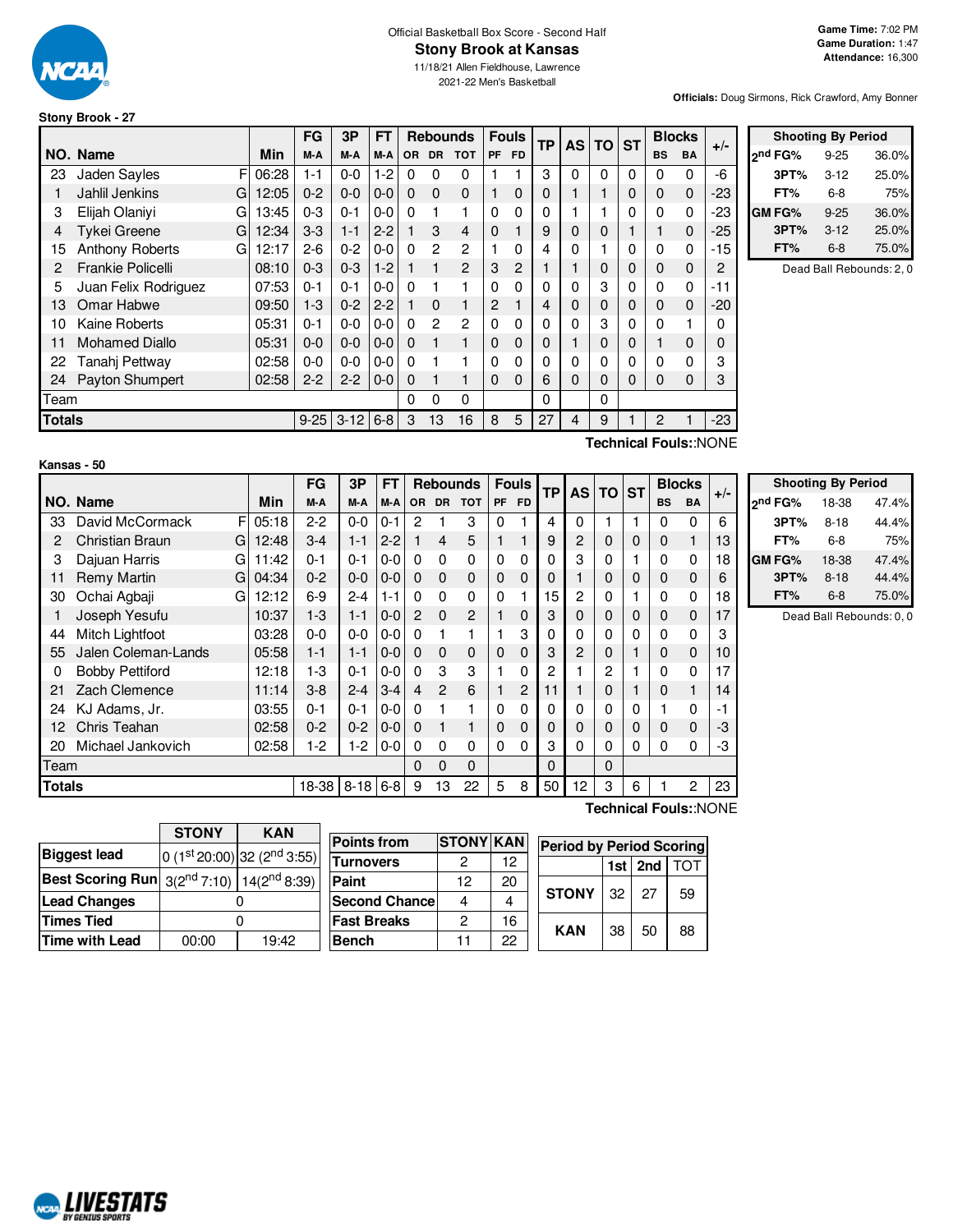

# Official Basketball Box Score - Second Half

**Stony Brook at Kansas**

11/18/21 Allen Fieldhouse, Lawrence 2021-22 Men's Basketball

**Officials:** Doug Sirmons, Rick Crawford, Amy Bonner

#### **Stony Brook - 27**

|               |                          |       | FG       | 3P       | <b>FT</b> |          | <b>Rebounds</b> |                |           | <b>Fouls</b> | <b>TP</b> | <b>AS</b> | <b>TO</b> | <b>ST</b> |           | <b>Blocks</b> | $+/-$                  |
|---------------|--------------------------|-------|----------|----------|-----------|----------|-----------------|----------------|-----------|--------------|-----------|-----------|-----------|-----------|-----------|---------------|------------------------|
|               | NO. Name                 | Min   | M-A      | M-A      | M-A       | OR.      | <b>DR</b>       | <b>TOT</b>     | <b>PF</b> | <b>FD</b>    |           |           |           |           | <b>BS</b> | <b>BA</b>     |                        |
| 23            | Jaden Sayles<br>F        | 06:28 | $1 - 1$  | $0 - 0$  | $1-2$     | $\Omega$ | 0               | 0              |           |              | 3         | $\Omega$  | $\Omega$  | 0         | $\Omega$  | 0             | -6                     |
|               | Jahlil Jenkins<br>G      | 12:05 | $0 - 2$  | $0 - 0$  | $0 - 0$   | $\Omega$ | 0               | 0              |           | 0            | 0         |           |           | 0         | $\Omega$  | 0             | -23                    |
| 3             | Elijah Olaniyi<br>G      | 13:45 | $0 - 3$  | $0 - 1$  | $0 - 0$   | 0        |                 |                | $\Omega$  | $\Omega$     | 0         |           |           | 0         | $\Omega$  | 0             | -23                    |
| 4             | <b>Tykei Greene</b><br>G | 12:34 | $3-3$    | $1 - 1$  | $2 - 2$   |          | 3               | 4              | 0         |              | 9         | 0         | 0         |           |           | 0             | -25                    |
| 15            | Anthony Roberts<br>G     | 12:17 | $2 - 6$  | $0 - 2$  | $0 - 0$   | 0        | 2               | 2              |           | 0            | 4         | 0         |           | 0         | $\Omega$  | 0             | -15                    |
| 2             | Frankie Policelli        | 08:10 | $0 - 3$  | $0 - 3$  | $1-2$     |          |                 | $\overline{2}$ | 3         | 2            |           |           | 0         | 0         | 0         | 0             | $\overline{c}$         |
| 5             | Juan Felix Rodriguez     | 07:53 | $0 - 1$  | $0 - 1$  | $0 - 0$   | 0        |                 |                | 0         | 0            |           | 0         | 3         | 0         | $\Omega$  | 0             | $-11$                  |
| 13            | Omar Habwe               | 09:50 | $1-3$    | $0 - 2$  | $2 - 2$   |          | 0               |                | 2         |              | 4         | 0         | 0         | 0         | $\Omega$  | 0             | $-20$                  |
| 10            | Kaine Roberts            | 05:31 | $0 - 1$  | $0 - 0$  | $0 - 0$   | 0        | 2               | 2              | $\Omega$  | 0            | 0         | $\Omega$  | 3         | 0         | $\Omega$  |               | 0                      |
| 11            | <b>Mohamed Diallo</b>    | 05:31 | $0 - 0$  | $0 - 0$  | $0 - 0$   | $\Omega$ |                 |                | $\Omega$  | 0            | $\Omega$  |           | 0         | 0         |           | $\Omega$      | 0                      |
| 22            | Tanahj Pettway           | 02:58 | $0 - 0$  | $0 - 0$  | $0 - 0$   | $\Omega$ |                 |                | 0         | 0            |           |           | 0         | 0         | 0         | 0             | 3                      |
| 24            | Payton Shumpert          | 02:58 | $2 - 2$  | $2 - 2$  | $0 - 0$   | 0        |                 |                | $\Omega$  | 0            | 6         | 0         | 0         | 0         | $\Omega$  | 0             | 3                      |
| Team          |                          |       |          |          |           | $\Omega$ | 0               | $\Omega$       |           |              | 0         |           | 0         |           |           |               |                        |
| <b>Totals</b> |                          |       | $9 - 25$ | $3 - 12$ | $6 - 8$   | 3        | 13              | 16             | 8         | 5            | 27        | 4         | 9         |           | 2         |               | $-23$                  |
|               |                          |       |          |          |           |          |                 |                |           |              |           |           |           |           |           |               | Toobnical Fouler: NONE |

| 3PT%          | 3-12     | 25.0%                    |
|---------------|----------|--------------------------|
| FT%           | 6-8      | 75%                      |
| <b>GM FG%</b> | $9 - 25$ | 36.0%                    |
| 3PT%          | $3-12$   | 25.0%                    |
|               |          |                          |
| FT%           | 6-8      | 75.0%                    |
|               |          | Dead Ball Rebounds: 2, 0 |
|               |          |                          |

**Shooting By Period 2 nd FG%** 9-25 36.0%

#### **Kansas - 50**

**Technical Fouls:**:NONE

**Technical Fouls:**:NONE

|               |                         |       | FG      | 3P       | FT      |          |               | <b>Rebounds</b> |           | <b>Fouls</b> | TP       | <b>AS</b>    | TO I     | <b>ST</b> | <b>Blocks</b> |             | $+/-$ |
|---------------|-------------------------|-------|---------|----------|---------|----------|---------------|-----------------|-----------|--------------|----------|--------------|----------|-----------|---------------|-------------|-------|
|               | NO. Name                | Min   | M-A     | M-A      | M-A     | OR.      | <b>DR</b>     | <b>TOT</b>      | <b>PF</b> | <b>FD</b>    |          |              |          |           | <b>BS</b>     | <b>BA</b>   |       |
| 33            | F<br>David McCormack    | 05:18 | $2 - 2$ | $0-0$    | $0 - 1$ | 2        |               | 3               | $\Omega$  |              | 4        | $\Omega$     |          |           | 0             | 0           | 6     |
| 2             | Christian Braun<br>G    | 12:48 | $3 - 4$ | $1 - 1$  | $2 - 2$ |          | 4             | 5               |           |              | 9        | 2            | 0        | 0         | $\mathbf 0$   | 1           | 13    |
| 3             | Dajuan Harris<br>G      | 11:42 | $0 - 1$ | $0 - 1$  | $0-0$   | $\Omega$ | $\Omega$      | $\Omega$        | $\Omega$  | $\Omega$     | $\Omega$ | 3            | 0        |           | $\Omega$      | 0           | 18    |
| 11            | <b>Remy Martin</b><br>G | 04:34 | $0 - 2$ | $0-0$    | $0 - 0$ | $\Omega$ | $\Omega$      | 0               | 0         | 0            | 0        |              | 0        | 0         | 0             | $\mathbf 0$ | 6     |
| 30            | Ochai Agbaji<br>G       | 12:12 | $6-9$   | $2 - 4$  | $1 - 1$ | $\Omega$ | $\Omega$      | $\Omega$        | $\Omega$  |              | 15       | $\mathbf{2}$ | 0        |           | 0             | 0           | 18    |
|               | Joseph Yesufu           | 10:37 | $1-3$   | $1 - 1$  | $0 - 0$ | 2        | $\Omega$      | 2               |           | $\mathbf{0}$ | 3        | 0            | 0        | 0         | 0             | 0           | 17    |
| 44            | Mitch Lightfoot         | 03:28 | $0 - 0$ | $0-0$    | $0-0$   | $\Omega$ |               |                 |           | 3            | 0        | 0            | 0        | 0         | $\Omega$      | 0           | 3     |
| 55            | Jalen Coleman-Lands     | 05:58 | $1 - 1$ | $1 - 1$  | $0 - 0$ | $\Omega$ | 0             | 0               | $\Omega$  | 0            | 3        | 2            | 0        |           | 0             | $\mathbf 0$ | 10    |
| 0             | <b>Bobby Pettiford</b>  | 12:18 | 1-3     | $0 - 1$  | $0 - 0$ | $\Omega$ | 3             | 3               |           | 0            | 2        |              | 2        |           | 0             | 0           | 17    |
| 21            | Zach Clemence           | 11:14 | $3-8$   | $2 - 4$  | $3 - 4$ | 4        | $\mathcal{P}$ | 6               |           | 2            | 11       |              | $\Omega$ |           | $\Omega$      | 1           | 14    |
| 24            | KJ Adams, Jr.           | 03:55 | $0 - 1$ | $0 - 1$  | $0-0$   | $\Omega$ |               |                 | $\Omega$  | 0            | $\Omega$ | 0            | 0        | 0         |               | 0           | $-1$  |
| 12            | Chris Teahan            | 02:58 | $0 - 2$ | $0 - 2$  | $0 - 0$ | $\Omega$ |               | 1               | $\Omega$  | 0            | 0        | 0            | 0        | 0         | 0             | 0           | -3    |
| 20            | Michael Jankovich       | 02:58 | 1-2     | $1-2$    | $0-0$   | $\Omega$ | 0             | 0               | $\Omega$  | 0            | 3        | 0            | 0        | 0         | 0             | 0           | -3    |
|               | Team                    |       |         |          |         | $\Omega$ | $\Omega$      | $\Omega$        |           |              | 0        |              | $\Omega$ |           |               |             |       |
| <b>Totals</b> |                         |       | 18-38   | $8 - 18$ | $6 - 8$ | 9        | 13            | 22              | 5         | 8            | 50       | 12           | 3        | 6         |               | 2           | 23    |

| <b>Shooting By Period</b> |          |       |  |  |  |  |  |  |  |  |  |  |
|---------------------------|----------|-------|--|--|--|--|--|--|--|--|--|--|
| 2 <sup>nd</sup> FG%       | 18-38    | 47.4% |  |  |  |  |  |  |  |  |  |  |
| 3PT%                      | $8 - 18$ | 44.4% |  |  |  |  |  |  |  |  |  |  |
| FT%                       | 6-8      | 75%   |  |  |  |  |  |  |  |  |  |  |
| <b>GMFG%</b>              | 18-38    | 47.4% |  |  |  |  |  |  |  |  |  |  |
| 3PT%                      | $8 - 18$ | 44.4% |  |  |  |  |  |  |  |  |  |  |
| FT%                       | $6-8$    | 75.0% |  |  |  |  |  |  |  |  |  |  |

Dead Ball Rebounds: 0, 0

|                                                              | <b>STONY</b><br><b>KAN</b> |                                         |  |  |  |  |  |
|--------------------------------------------------------------|----------------------------|-----------------------------------------|--|--|--|--|--|
| <b>Biggest lead</b>                                          |                            | 0 (1st 20:00) 32 (2 <sup>nd</sup> 3:55) |  |  |  |  |  |
| <b>Best Scoring Run</b> $3(2^{nd} 7:10)$ 14( $2^{nd} 8:39$ ) |                            |                                         |  |  |  |  |  |
| <b>Lead Changes</b>                                          |                            |                                         |  |  |  |  |  |
| <b>Times Tied</b>                                            |                            |                                         |  |  |  |  |  |
| Time with Lead                                               | 19:42<br>00:00             |                                         |  |  |  |  |  |

| <b>Points from</b>    | <b>STONY KAN</b> |    | <b>Period by Period Scoring</b> |       |     |     |  |  |  |  |  |
|-----------------------|------------------|----|---------------------------------|-------|-----|-----|--|--|--|--|--|
| Turnovers             |                  | 12 |                                 | 1st l | 2nd | TOT |  |  |  |  |  |
| Paint                 | 12               | 20 |                                 |       |     |     |  |  |  |  |  |
| <b>Second Chancel</b> | 4                | 4  | <b>STONY</b>                    | 32    | 27  | 59  |  |  |  |  |  |
| <b>Fast Breaks</b>    | 2                | 16 | <b>KAN</b>                      |       |     |     |  |  |  |  |  |
| <b>Bench</b>          | 11               | 22 |                                 | 38    | 50  | 88  |  |  |  |  |  |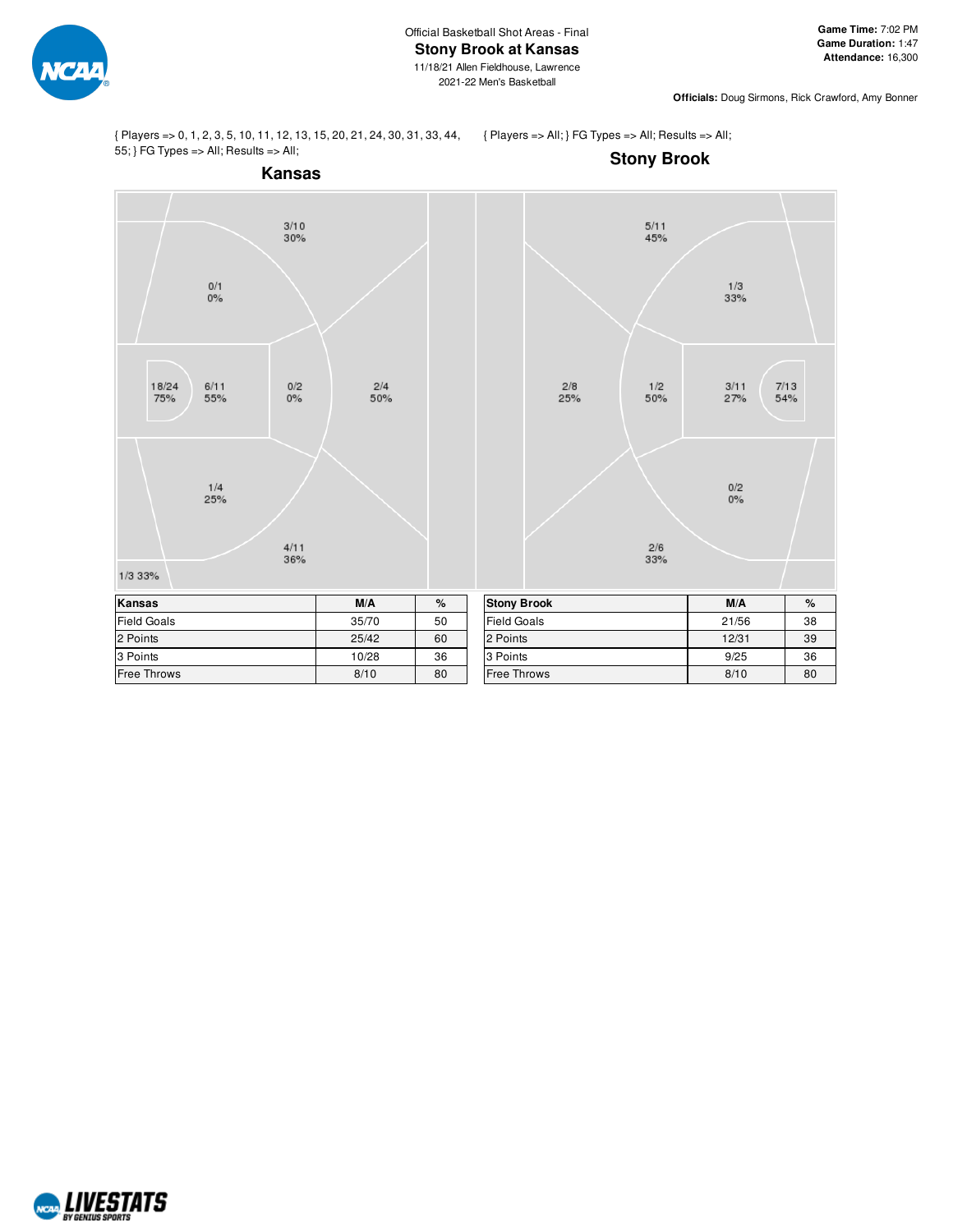

**Officials:** Doug Sirmons, Rick Crawford, Amy Bonner

{ Players => 0, 1, 2, 3, 5, 10, 11, 12, 13, 15, 20, 21, 24, 30, 31, 33, 44, 55; } FG Types => All; Results => All;

{ Players => All; } FG Types => All; Results => All;



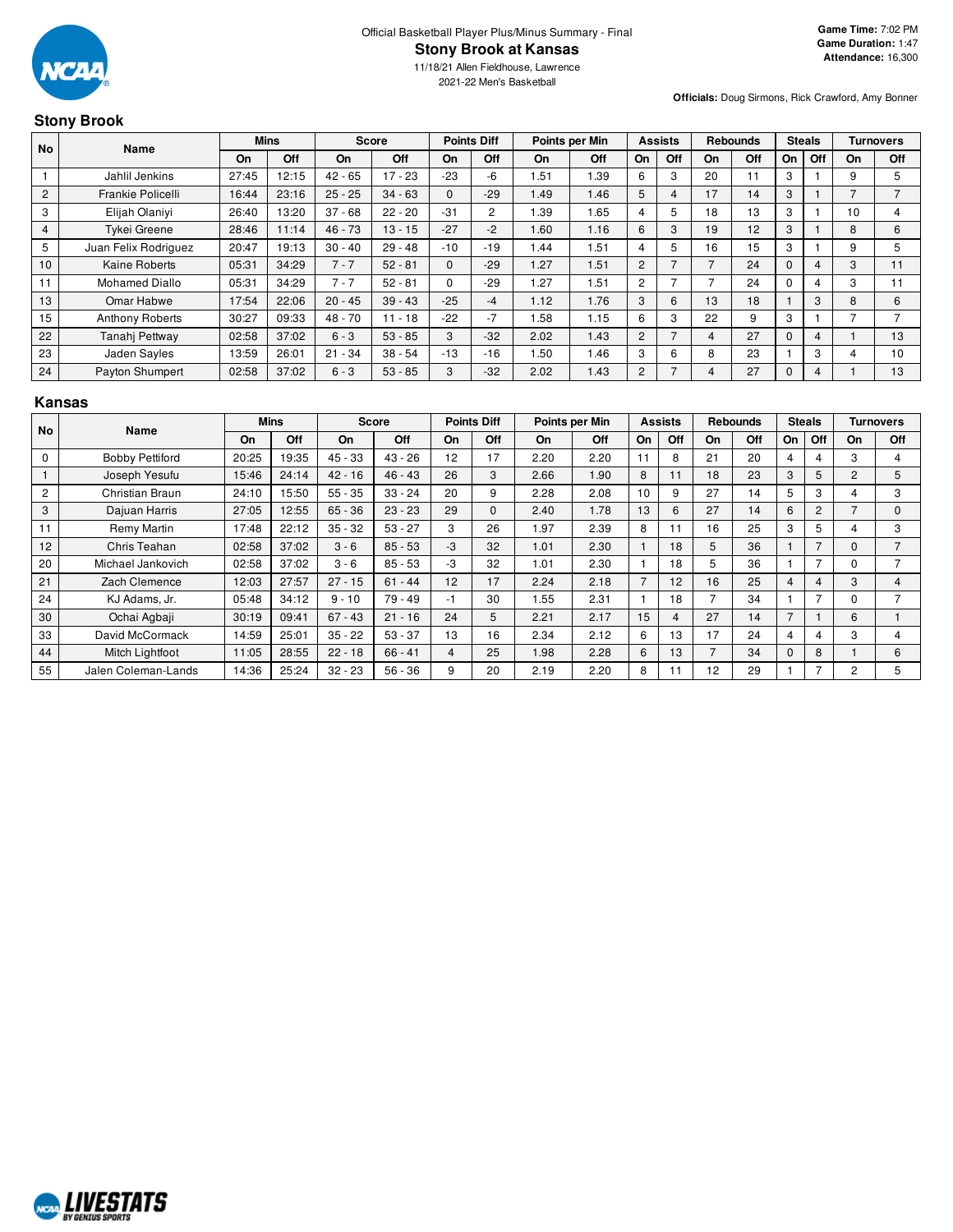

2021-22 Men's Basketball

**Officials:** Doug Sirmons, Rick Crawford, Amy Bonner

# **Stony Brook**

| <b>No</b>      | Name                   |       | <b>Mins</b> |           | <b>Score</b> |          | <b>Points Diff</b> |      | Points per Min |                | <b>Assists</b> |     | <b>Rebounds</b> |              | <b>Steals</b>  |    | <b>Turnovers</b> |
|----------------|------------------------|-------|-------------|-----------|--------------|----------|--------------------|------|----------------|----------------|----------------|-----|-----------------|--------------|----------------|----|------------------|
|                |                        | On    | Off         | On.       | Off          | On       | Off                | On   | Off            | On             | Off            | On. | Off             | <b>On</b>    | Off            | On | Off              |
|                | Jahlil Jenkins         | 27:45 | 12:15       | $42 - 65$ | $17 - 23$    | $-23$    | -6                 | 1.51 | 1.39           | 6              | 3              | 20  | 11              | 3            |                | 9  |                  |
| 2              | Frankie Policelli      | 16:44 | 23:16       | $25 - 25$ | $34 - 63$    | $\Omega$ | $-29$              | 1.49 | 1.46           | 5              | 4              | 17  | 14              | 3            |                |    |                  |
| 3              | Elijah Olaniyi         | 26:40 | 13:20       | $37 - 68$ | $22 - 20$    | $-31$    | $\overline{2}$     | 1.39 | 1.65           | 4              | 5              | 18  | 13              | 3            |                | 10 | 4                |
| $\overline{4}$ | <b>Tykei Greene</b>    | 28:46 | 11:14       | $46 - 73$ | $13 - 15$    | $-27$    | $-2$               | 1.60 | 1.16           | 6              | 3              | 19  | 12              | 3            |                | 8  | 6                |
| 5              | Juan Felix Rodriguez   | 20:47 | 19:13       | $30 - 40$ | $29 - 48$    | $-10$    | $-19$              | 1.44 | 1.51           | 4              | 5              | 16  | 15              | 3            |                | 9  |                  |
| 10             | Kaine Roberts          | 05:31 | 34:29       | $7 - 7$   | $52 - 81$    | $\Omega$ | $-29$              | 1.27 | 1.51           | 2              | $\overline{ }$ |     | 24              | $\Omega$     | $\overline{4}$ | 3  | 11               |
| 11             | <b>Mohamed Diallo</b>  | 05:31 | 34:29       | $7 - 7$   | $52 - 81$    | $\Omega$ | $-29$              | 1.27 | 1.51           | $\overline{c}$ |                |     | 24              | 0            | 4              | 3  |                  |
| 13             | Omar Habwe             | 17:54 | 22:06       | $20 - 45$ | $39 - 43$    | $-25$    | $-4$               | 1.12 | 1.76           | 3              | 6              | 13  | 18              |              | 3              | 8  | 6                |
| 15             | <b>Anthony Roberts</b> | 30:27 | 09:33       | $48 - 70$ | $11 - 18$    | $-22$    | $-7$               | 1.58 | 1.15           | 6              | 3              | 22  | 9               | 3            |                |    |                  |
| 22             | Tanahi Pettway         | 02:58 | 37:02       | $6 - 3$   | $53 - 85$    | 3        | $-32$              | 2.02 | 1.43           | $\overline{2}$ | $\overline{7}$ | 4   | 27              | $\mathbf{0}$ | 4              |    | 13               |
| 23             | Jaden Sayles           | 13:59 | 26:01       | $21 - 34$ | $38 - 54$    | $-13$    | $-16$              | 1.50 | 1.46           | 3              | 6              | 8   | 23              |              | 3              | 4  | 10               |
| 24             | Payton Shumpert        | 02:58 | 37:02       | $6 - 3$   | $53 - 85$    | 3        | $-32$              | 2.02 | 1.43           | $\overline{2}$ | $\overline{ }$ | 4   | 27              | $\Omega$     | 4              |    | 13               |

# **Kansas**

| No             | Name                   |       | Mins  |           | <b>Score</b> |      | <b>Points Diff</b> |      | Points per Min |                | <b>Assists</b> |    | <b>Rebounds</b> |           | <b>Steals</b>            |              | <b>Turnovers</b> |
|----------------|------------------------|-------|-------|-----------|--------------|------|--------------------|------|----------------|----------------|----------------|----|-----------------|-----------|--------------------------|--------------|------------------|
|                |                        | On    | Off   | On        | Off          | On   | Off                | On   | Off            | On             | Off            | On | Off             | <b>On</b> | Off                      | On           | Off              |
| $\mathbf 0$    | <b>Bobby Pettiford</b> | 20:25 | 19:35 | $45 - 33$ | $43 - 26$    | 12   | 17                 | 2.20 | 2.20           | 11             | 8              | 21 | 20              | 4         | 4                        | 3            | 4                |
|                | Joseph Yesufu          | 15:46 | 24:14 | $42 - 16$ | $46 - 43$    | 26   | 3                  | 2.66 | 1.90           | 8              | 11             | 18 | 23              | 3         | 5                        | 2            | 5                |
| $\overline{c}$ | Christian Braun        | 24:10 | 15:50 | $55 - 35$ | $33 - 24$    | 20   | 9                  | 2.28 | 2.08           | 10             | 9              | 27 | 14              | 5         | 3                        | 4            | 3                |
| 3              | Dajuan Harris          | 27:05 | 12:55 | $65 - 36$ | $23 - 23$    | 29   | $\Omega$           | 2.40 | 1.78           | 13             | 6              | 27 | 14              | 6         | 2                        |              | $\Omega$         |
| 11             | Remy Martin            | 17:48 | 22:12 | $35 - 32$ | $53 - 27$    | 3    | 26                 | 1.97 | 2.39           | 8              | 11             | 16 | 25              | 3         | 5                        | 4            | 3                |
| 12             | Chris Teahan           | 02:58 | 37:02 | $3 - 6$   | $85 - 53$    | $-3$ | 32                 | 1.01 | 2.30           |                | 18             | 5  | 36              |           | $\overline{7}$           | $\mathbf{0}$ |                  |
| 20             | Michael Jankovich      | 02:58 | 37:02 | $3 - 6$   | $85 - 53$    | -3   | 32                 | 1.01 | 2.30           |                | 18             | 5  | 36              |           |                          | 0            |                  |
| 21             | Zach Clemence          | 12:03 | 27:57 | $27 - 15$ | $61 - 44$    | 12   | 17                 | 2.24 | 2.18           | $\overline{ }$ | 12             | 16 | 25              | 4         | 4                        | 3            | 4                |
| 24             | KJ Adams, Jr.          | 05:48 | 34:12 | $9 - 10$  | 79 - 49      | -1   | 30                 | 1.55 | 2.31           |                | 18             |    | 34              |           | $\overline{\phantom{a}}$ | 0            |                  |
| 30             | Ochai Agbaji           | 30:19 | 09:41 | $67 - 43$ | $21 - 16$    | 24   | 5.                 | 2.21 | 2.17           | 15             | 4              | 27 | 14              | 7         |                          | 6            |                  |
| 33             | David McCormack        | 14:59 | 25:01 | $35 - 22$ | $53 - 37$    | 13   | 16                 | 2.34 | 2.12           | 6              | 13             | 17 | 24              | 4         | 4                        | 3            | 4                |
| 44             | Mitch Lightfoot        | 11:05 | 28:55 | $22 - 18$ | $66 - 41$    | 4    | 25                 | 1.98 | 2.28           | 6              | 13             |    | 34              | 0         | 8                        |              | 6                |
| 55             | Jalen Coleman-Lands    | 14:36 | 25:24 | $32 - 23$ | $56 - 36$    | 9    | 20                 | 2.19 | 2.20           | 8              | 11             | 12 | 29              |           |                          | 2            | 5                |

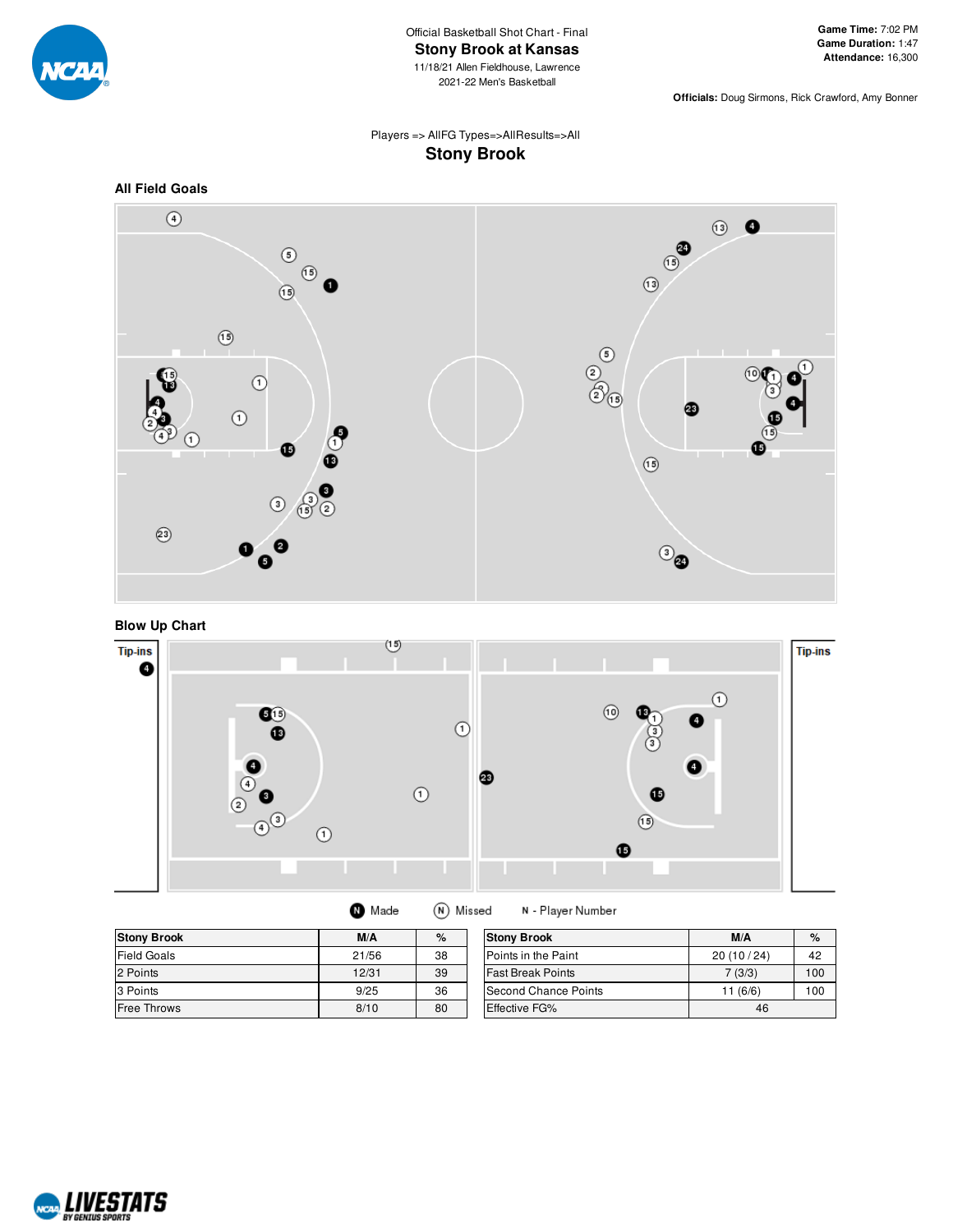

**Officials:** Doug Sirmons, Rick Crawford, Amy Bonner

# Players => AllFG Types=>AllResults=>All **Stony Brook**





**Blow Up Chart**



(N) Missed **O** Made

N - Player Number

| <b>Stony Brook</b> | M/A   | %  | <b>Stony Brook</b>       | M/A       | $\%$ |
|--------------------|-------|----|--------------------------|-----------|------|
| <b>Field Goals</b> | 21/56 | 38 | Points in the Paint      | 20(10/24) | 42   |
| 2 Points           | 12/31 | 39 | <b>Fast Break Points</b> | 7(3/3)    | 100  |
| 3 Points           | 9/25  | 36 | Second Chance Points     | (6/6)     | 100  |
| <b>Free Throws</b> | 8/10  | 80 | <b>Effective FG%</b>     | 46        |      |

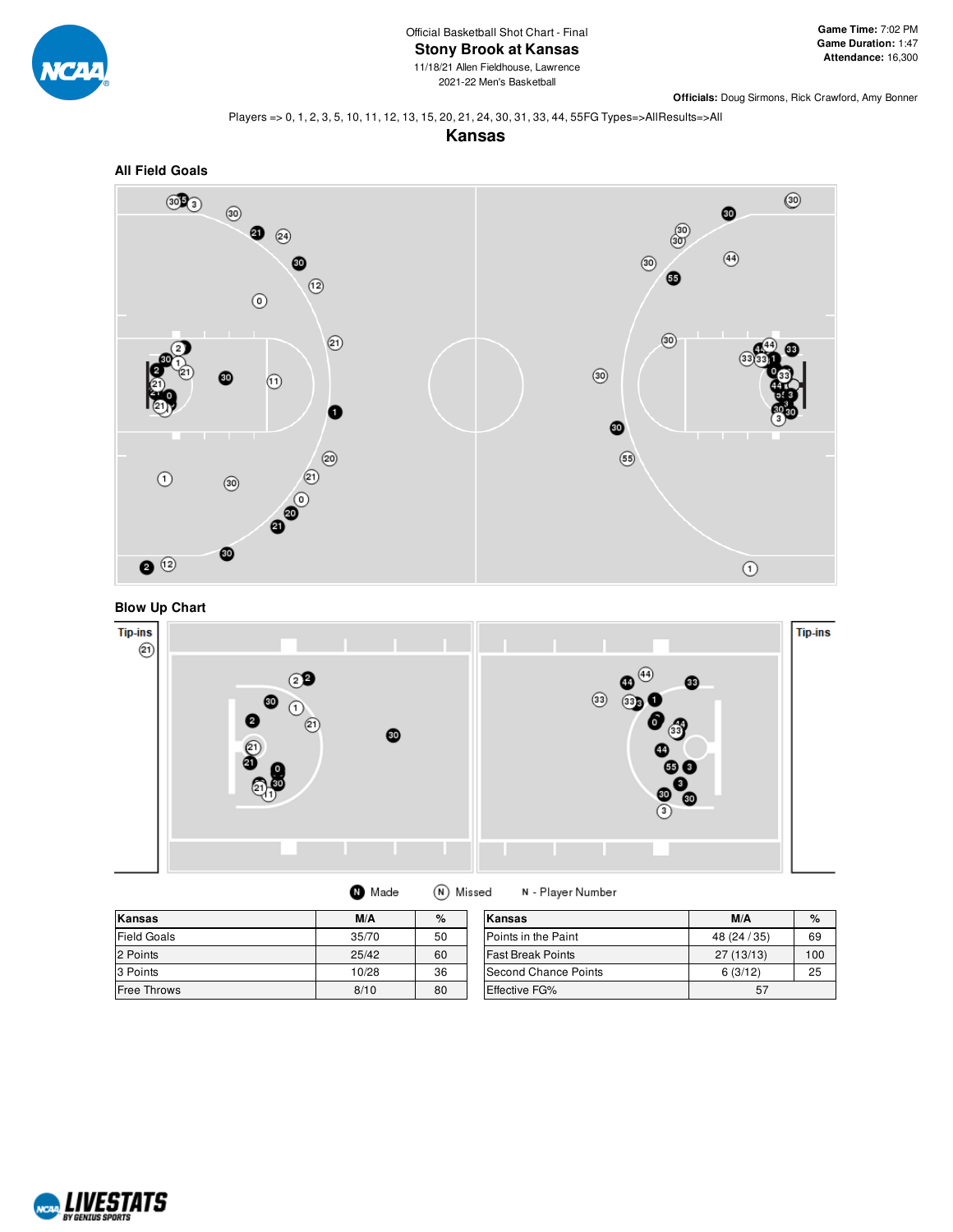

2021-22 Men's Basketball

**Officials:** Doug Sirmons, Rick Crawford, Amy Bonner

#### Players => 0, 1, 2, 3, 5, 10, 11, 12, 13, 15, 20, 21, 24, 30, 31, 33, 44, 55FG Types=>AllResults=>All









| Made | (N) Missed |
|------|------------|
|------|------------|

N - Player Number

| Kansas             | M/A   | %  | Kansas                   | M/A          | $\%$ |
|--------------------|-------|----|--------------------------|--------------|------|
| <b>Field Goals</b> | 35/70 | 50 | Points in the Paint      | 48 (24 / 35) | 69   |
| 2 Points           | 25/42 | 60 | <b>Fast Break Points</b> | 27 (13/13)   | 100  |
| 3 Points           | 10/28 | 36 | Second Chance Points     | 6(3/12)      | 25   |
| <b>Free Throws</b> | 8/10  | 80 | <b>Effective FG%</b>     | 57           |      |

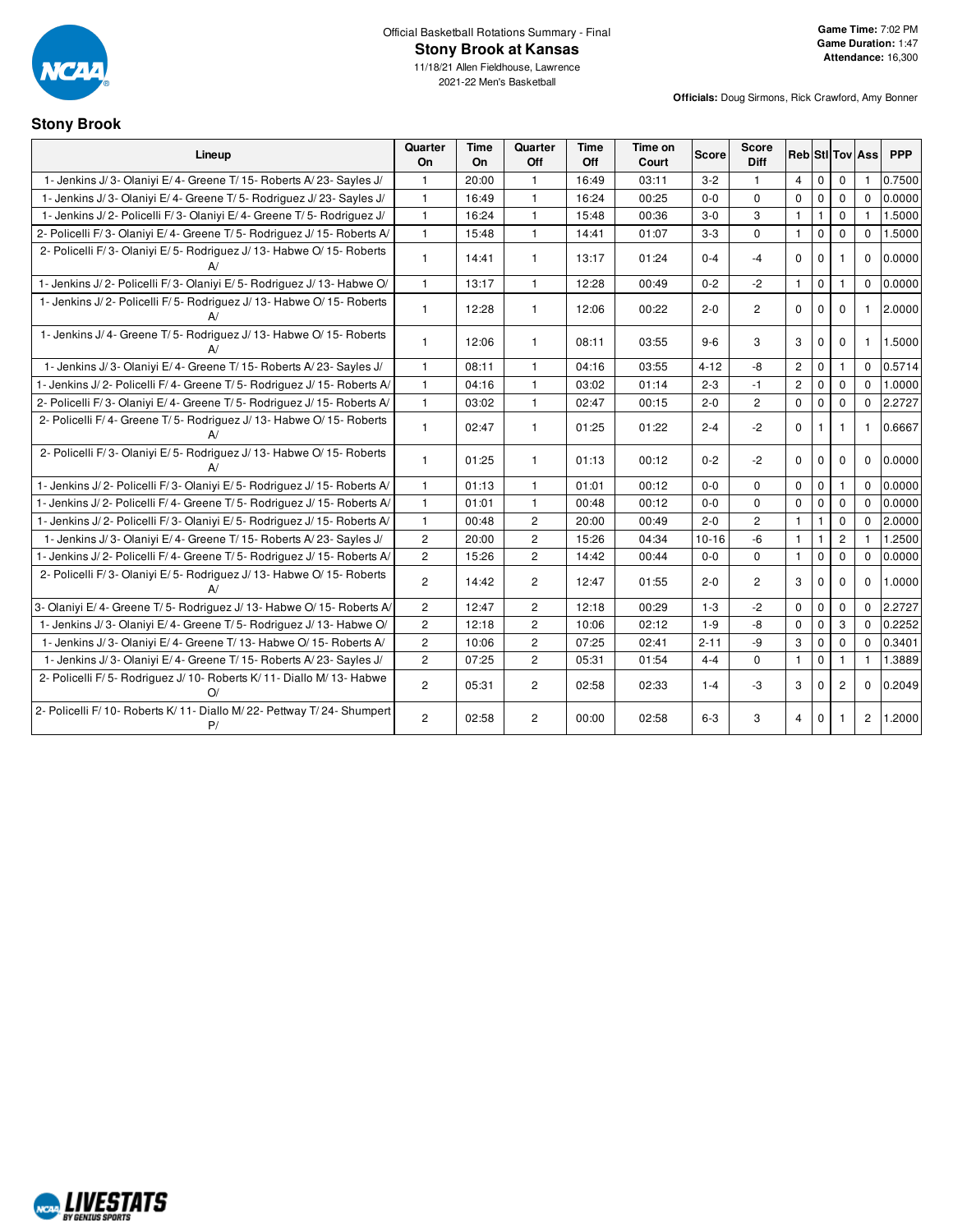

2021-22 Men's Basketball

## **Stony Brook**

|                                                                                | Quarter        | <b>Time</b> | Quarter               | Time  | Time on |              | <b>Score</b>   |                       |              |                |                        |            |
|--------------------------------------------------------------------------------|----------------|-------------|-----------------------|-------|---------|--------------|----------------|-----------------------|--------------|----------------|------------------------|------------|
| Lineup                                                                         | On             | On          | Off                   | Off   | Court   | <b>Score</b> | Diff           |                       |              |                | <b>Reb</b> Sti Tov Ass | <b>PPP</b> |
| 1- Jenkins J/3- Olaniyi E/4- Greene T/15- Roberts A/23- Sayles J/              | 1.             | 20:00       | $\mathbf{1}$          | 16:49 | 03:11   | $3 - 2$      | $\mathbf{1}$   | 4                     | $\mathbf 0$  | $\Omega$       |                        | 0.7500     |
| 1- Jenkins J/3- Olaniyi E/4- Greene T/5- Rodriguez J/23- Sayles J/             | $\mathbf{1}$   | 16:49       | $\mathbf{1}$          | 16:24 | 00:25   | $0-0$        | $\Omega$       | $\mathbf 0$           | $\mathbf 0$  | $\mathbf 0$    | $\Omega$               | 0.0000     |
| 1- Jenkins J/2- Policelli F/3- Olaniyi E/4- Greene T/5- Rodriguez J/           | $\mathbf{1}$   | 16:24       | $\mathbf{1}$          | 15:48 | 00:36   | $3-0$        | 3              | $\mathbf{1}$          | $\mathbf{1}$ | $\mathbf 0$    | $\mathbf{1}$           | 1.5000     |
| 2- Policelli F/3- Olaniyi E/4- Greene T/5- Rodriguez J/15- Roberts A/          | $\mathbf{1}$   | 15:48       | $\mathbf{1}$          | 14:41 | 01:07   | $3 - 3$      | $\mathbf 0$    | $\mathbf{1}$          | $\mathsf 0$  | $\mathbf 0$    | $\mathbf 0$            | 1.5000     |
| 2- Policelli F/3- Olaniyi E/5- Rodriguez J/13- Habwe O/15- Roberts<br>A/       | $\mathbf{1}$   | 14:41       | $\mathbf{1}$          | 13:17 | 01:24   | $0 - 4$      | $-4$           | 0                     | $\mathbf 0$  | 1.             | $\Omega$               | 0.0000     |
| 1- Jenkins J/2- Policelli F/3- Olaniyi E/5- Rodriguez J/13- Habwe O/           | $\mathbf{1}$   | 13:17       | $\mathbf{1}$          | 12:28 | 00:49   | $0 - 2$      | $-2$           | $\mathbf{1}$          | $\mathbf 0$  | $\mathbf{1}$   | $\Omega$               | 0.0000     |
| 1- Jenkins J/2- Policelli F/5- Rodriguez J/13- Habwe O/15- Roberts<br>A/       | $\mathbf{1}$   | 12:28       | $\mathbf{1}$          | 12:06 | 00:22   | $2 - 0$      | $\overline{2}$ | $\mathbf 0$           | $\mathbf 0$  | 0              | 1                      | 2.0000     |
| 1- Jenkins J/4- Greene T/5- Rodriguez J/13- Habwe O/15- Roberts<br>A/          | $\mathbf{1}$   | 12:06       | $\mathbf{1}$          | 08:11 | 03:55   | $9-6$        | 3              | 3                     | $\mathbf 0$  | $\Omega$       | 1                      | 1.5000     |
| 1- Jenkins J/3- Olaniyi E/4- Greene T/15- Roberts A/23- Sayles J/              | $\mathbf{1}$   | 08:11       | $\mathbf{1}$          | 04:16 | 03:55   | $4 - 12$     | -8             | $\mathbf{2}^{\prime}$ | $\mathbf 0$  | 1.             | $\Omega$               | 0.5714     |
| 1- Jenkins J/2- Policelli F/4- Greene T/5- Rodriguez J/15- Roberts A/          | $\mathbf{1}$   | 04:16       | $\mathbf{1}$          | 03:02 | 01:14   | $2 - 3$      | $-1$           | $\overline{2}$        | $\mathbf 0$  | $\Omega$       | $\Omega$               | 1.0000     |
| 2- Policelli F/3- Olaniyi E/4- Greene T/5- Rodriguez J/15- Roberts A/          | $\mathbf{1}$   | 03:02       | $\mathbf{1}$          | 02:47 | 00:15   | $2 - 0$      | $\overline{c}$ | $\mathbf 0$           | $\mathbf 0$  | $\mathbf 0$    | $\Omega$               | 2.2727     |
| 2- Policelli F/4- Greene T/5- Rodriguez J/13- Habwe O/15- Roberts<br>A/        | $\mathbf{1}$   | 02:47       | $\mathbf{1}$          | 01:25 | 01:22   | $2 - 4$      | $-2$           | $\mathbf 0$           | $\mathbf{1}$ | $\mathbf{1}$   | 1                      | 0.6667     |
| 2- Policelli F/3- Olaniyi E/5- Rodriguez J/13- Habwe O/15- Roberts<br>A/       | $\mathbf{1}$   | 01:25       | $\mathbf{1}$          | 01:13 | 00:12   | $0 - 2$      | $-2$           | $\mathbf 0$           | $\mathbf 0$  | $\mathbf 0$    | $\Omega$               | 0.0000     |
| 1- Jenkins J/2- Policelli F/3- Olaniyi E/5- Rodriguez J/15- Roberts A/         | $\mathbf{1}$   | 01:13       | $\mathbf{1}$          | 01:01 | 00:12   | $0-0$        | $\mathbf 0$    | $\mathbf 0$           | $\mathbf 0$  | $\mathbf{1}$   | $\Omega$               | 0.0000     |
| 1- Jenkins J/2- Policelli F/4- Greene T/5- Rodriguez J/15- Roberts A/          | $\mathbf{1}$   | 01:01       | $\mathbf{1}$          | 00:48 | 00:12   | $0-0$        | $\Omega$       | $\mathbf 0$           | $\mathbf 0$  | $\mathbf 0$    | $\Omega$               | 0.0000     |
| 1- Jenkins J/2- Policelli F/3- Olaniyi E/5- Rodriguez J/15- Roberts A/         | $\mathbf{1}$   | 00:48       | $\mathbf{2}^{\prime}$ | 20:00 | 00:49   | $2 - 0$      | $\overline{c}$ | $\mathbf{1}$          | $\mathbf{1}$ | 0              | $\mathbf 0$            | 2.0000     |
| 1- Jenkins J/3- Olaniyi E/4- Greene T/15- Roberts A/23- Sayles J/              | $\mathbf{2}$   | 20:00       | $\mathbf{2}$          | 15:26 | 04:34   | $10 - 16$    | $-6$           | $\mathbf{1}$          | $\mathbf{1}$ | $\overline{c}$ |                        | 1.2500     |
| 1- Jenkins J/2- Policelli F/4- Greene T/5- Rodriguez J/15- Roberts A/          | $\overline{c}$ | 15:26       | $\overline{c}$        | 14:42 | 00:44   | $0-0$        | $\mathbf 0$    | $\mathbf{1}$          | $\mathbf 0$  | $\mathbf 0$    | $\mathbf 0$            | 0.0000     |
| 2- Policelli F/3- Olaniyi E/5- Rodriguez J/13- Habwe O/15- Roberts<br>A/       | $\overline{2}$ | 14:42       | $\overline{2}$        | 12:47 | 01:55   | $2 - 0$      | $\overline{2}$ | 3                     | $\mathbf 0$  | $\Omega$       | $\Omega$               | 1.0000     |
| 3- Olaniyi E/4- Greene T/5- Rodriguez J/13- Habwe O/15- Roberts A/             | $\mathbf{2}$   | 12:47       | $\mathbf{2}^{\prime}$ | 12:18 | 00:29   | $1 - 3$      | $-2$           | 0                     | $\mathbf 0$  | $\mathbf 0$    | $\mathbf 0$            | 2.2727     |
| 1- Jenkins J/3- Olaniyi E/4- Greene T/5- Rodriguez J/13- Habwe O/              | $\overline{c}$ | 12:18       | $\overline{c}$        | 10:06 | 02:12   | $1 - 9$      | -8             | $\mathbf 0$           | $\mathbf 0$  | 3              | $\Omega$               | 0.2252     |
| 1- Jenkins J/3- Olaniyi E/4- Greene T/13- Habwe O/15- Roberts A/               | $\overline{c}$ | 10:06       | $\overline{c}$        | 07:25 | 02:41   | $2 - 11$     | -9             | 3                     | $\mathbf 0$  | 0              | $\Omega$               | 0.3401     |
| 1- Jenkins J/3- Olaniyi E/4- Greene T/15- Roberts A/23- Sayles J/              | $\overline{c}$ | 07:25       | $\mathbf{2}^{\prime}$ | 05:31 | 01:54   | $4 - 4$      | $\Omega$       | $\mathbf{1}$          | $\mathbf{0}$ | $\mathbf{1}$   | $\mathbf{1}$           | 1.3889     |
| 2- Policelli F/5- Rodriguez J/10- Roberts K/11- Diallo M/13- Habwe<br>$\Omega$ | $\overline{2}$ | 05:31       | $\mathbf{2}^{\prime}$ | 02:58 | 02:33   | $1 - 4$      | -3             | 3                     | $\mathbf 0$  | $\overline{2}$ | $\mathbf 0$            | 0.2049     |
| 2- Policelli F/10- Roberts K/11- Diallo M/22- Pettway T/24- Shumpert<br>P/     | $\overline{2}$ | 02:58       | $\overline{c}$        | 00:00 | 02:58   | $6-3$        | 3              | $\overline{4}$        | $\mathbf 0$  |                | $\mathbf{2}$           | 1.2000     |

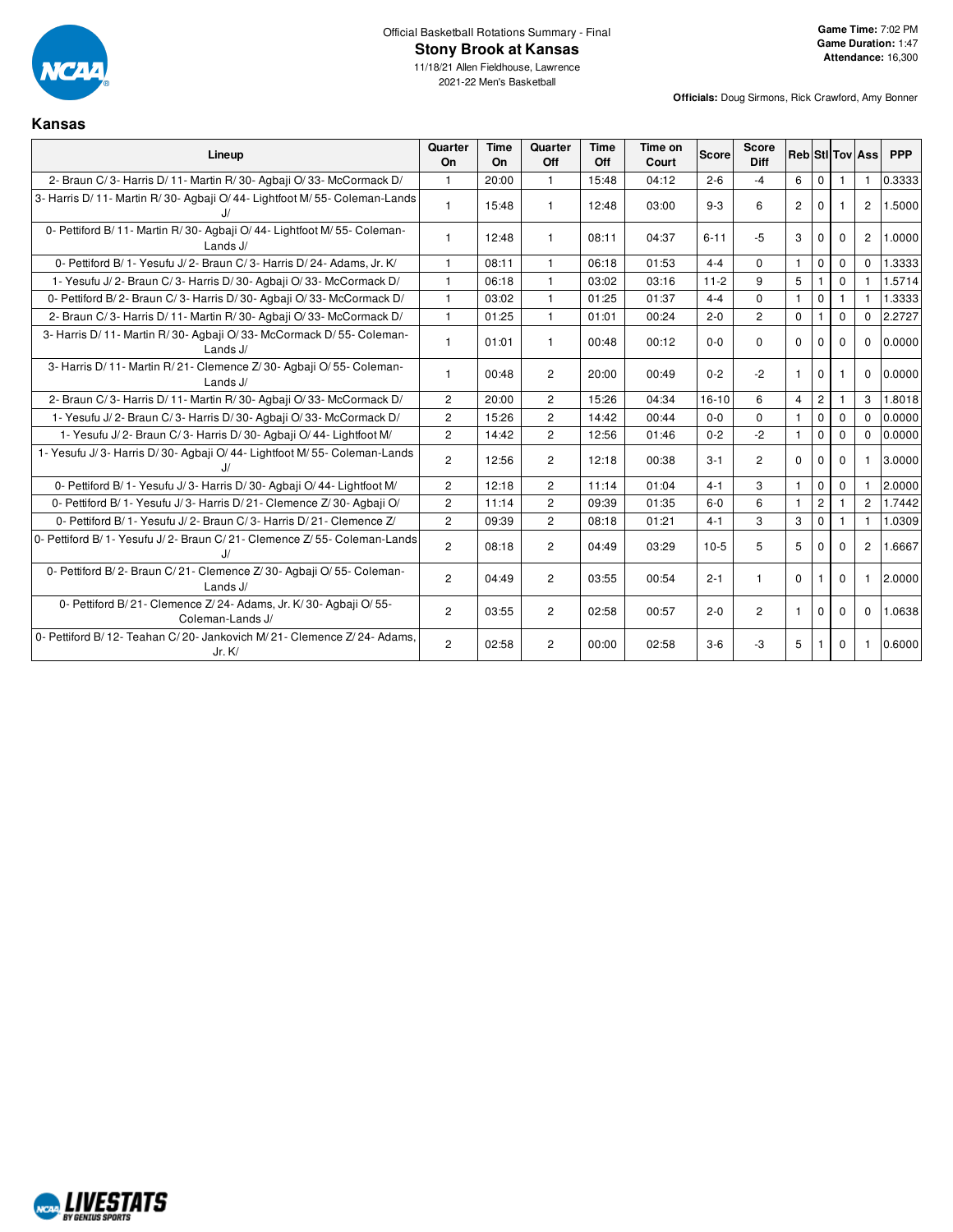

**Kansas**

11/18/21 Allen Fieldhouse, Lawrence 2021-22 Men's Basketball

**Officials:** Doug Sirmons, Rick Crawford, Amy Bonner

| Lineup                                                                                  | Quarter<br>On  | <b>Time</b><br>On | Quarter<br>Off | Time<br>Off | Time on<br>Court | <b>Score</b> | Score<br><b>Diff</b> |                |                |             | <b>Reb</b> StilTov Ass | <b>PPP</b> |
|-----------------------------------------------------------------------------------------|----------------|-------------------|----------------|-------------|------------------|--------------|----------------------|----------------|----------------|-------------|------------------------|------------|
| 2- Braun C/3- Harris D/11- Martin R/30- Agbaji O/33- McCormack D/                       | $\mathbf{1}$   | 20:00             | $\mathbf{1}$   | 15:48       | 04:12            | $2 - 6$      | $-4$                 | 6              | $\mathbf 0$    | 1           | $\mathbf{1}$           | 0.3333     |
| 3- Harris D/ 11- Martin R/ 30- Agbaji O/ 44- Lightfoot M/ 55- Coleman-Lands             | $\mathbf{1}$   | 15:48             | $\mathbf{1}$   | 12:48       | 03:00            | $9 - 3$      | 6                    | $\overline{c}$ | $\mathbf 0$    |             | $\overline{2}$         | 1.5000     |
| 0- Pettiford B/ 11- Martin R/ 30- Agbaji O/ 44- Lightfoot M/ 55- Coleman-<br>Lands $J/$ | $\mathbf{1}$   | 12:48             | 1              | 08:11       | 04:37            | $6 - 11$     | $-5$                 | 3              | $\mathbf 0$    | $\Omega$    | $\overline{2}$         | 1.0000     |
| 0- Pettiford B/1- Yesufu J/2- Braun C/3- Harris D/24- Adams, Jr. K/                     | 1              | 08:11             | $\mathbf{1}$   | 06:18       | 01:53            | $4 - 4$      | $\Omega$             | $\mathbf{1}$   | $\mathbf 0$    | $\mathbf 0$ | 0                      | 1.3333     |
| 1- Yesufu J/2- Braun C/3- Harris D/30- Agbaji O/33- McCormack D/                        | $\mathbf{1}$   | 06:18             | $\mathbf{1}$   | 03:02       | 03:16            | $11-2$       | 9                    | 5              | $\mathbf{1}$   | $\Omega$    | $\mathbf{1}$           | 1.5714     |
| 0- Pettiford B/2- Braun C/3- Harris D/30- Agbaji O/33- McCormack D/                     | $\mathbf{1}$   | 03:02             | $\mathbf{1}$   | 01:25       | 01:37            | $4 - 4$      | $\Omega$             | $\mathbf{1}$   | $\mathbf{0}$   |             | 1.                     | 1.3333     |
| 2- Braun C/3- Harris D/11- Martin R/30- Agbaji O/33- McCormack D/                       | $\mathbf{1}$   | 01:25             | $\mathbf{1}$   | 01:01       | 00:24            | $2 - 0$      | $\overline{2}$       | $\Omega$       | $\mathbf{1}$   | $\Omega$    | 0                      | 2.2727     |
| 3- Harris D/11- Martin R/30- Agbaii O/33- McCormack D/55- Coleman-<br>Lands J/          | $\mathbf{1}$   | 01:01             | $\mathbf{1}$   | 00:48       | 00:12            | $0-0$        | $\Omega$             | $\Omega$       | $\Omega$       | $\Omega$    | $\mathbf{0}$           | 0.0000     |
| 3- Harris D/11- Martin R/21- Clemence Z/30- Agbaii O/55- Coleman-<br>Lands J/           | $\mathbf{1}$   | 00:48             | $\overline{c}$ | 20:00       | 00:49            | $0 - 2$      | $-2$                 | $\mathbf{1}$   | $\mathbf{0}$   | -1          | $\mathbf 0$            | 0.0000     |
| 2- Braun C/3- Harris D/11- Martin R/30- Agbaii O/33- McCormack D/                       | $\overline{2}$ | 20:00             | $\overline{2}$ | 15:26       | 04:34            | $16 - 10$    | 6                    | $\overline{4}$ | $\overline{2}$ |             | $\mathbf{3}$           | 1.8018     |
| 1- Yesufu J/2- Braun C/3- Harris D/30- Agbaii O/33- McCormack D/                        | $\overline{2}$ | 15:26             | $\overline{2}$ | 14:42       | 00:44            | $0 - 0$      | $\Omega$             | $\mathbf{1}$   | $\Omega$       | $\Omega$    | $\Omega$               | 0.0000     |
| 1- Yesufu J/2- Braun C/3- Harris D/30- Agbaji O/44- Lightfoot M/                        | $\overline{2}$ | 14:42             | $\overline{2}$ | 12:56       | 01:46            | $0 - 2$      | $-2$                 | $\mathbf{1}$   | $\mathbf 0$    | $\Omega$    | $\mathbf{0}$           | 0.0000     |
| 1- Yesufu J/3- Harris D/30- Agbaji O/44- Lightfoot M/55- Coleman-Lands                  | $\overline{2}$ | 12:56             | $\overline{2}$ | 12:18       | 00:38            | $3 - 1$      | $\overline{2}$       | $\Omega$       | $\Omega$       | $\Omega$    | 1                      | 3.0000     |
| 0- Pettiford B/ 1- Yesufu J/ 3- Harris D/ 30- Agbaji O/ 44- Lightfoot M/                | $\overline{2}$ | 12:18             | $\overline{2}$ | 11:14       | 01:04            | $4 - 1$      | 3                    | $\mathbf{1}$   | $\mathbf 0$    | $\mathbf 0$ | $\mathbf{1}$           | 2.0000     |
| 0- Pettiford B/ 1- Yesufu J/ 3- Harris D/ 21- Clemence Z/ 30- Agbaii O/                 | 2              | 11:14             | 2              | 09:39       | 01:35            | $6 - 0$      | 6                    | $\mathbf{1}$   | $\overline{c}$ |             | $\overline{2}$         | 1.7442     |
| 0- Pettiford B/1- Yesufu J/2- Braun C/3- Harris D/21- Clemence Z/                       | $\overline{c}$ | 09:39             | $\overline{2}$ | 08:18       | 01:21            | $4 - 1$      | 3                    | 3              | $\mathbf 0$    |             | $\mathbf{1}$           | 1.0309     |
| 0- Pettiford B/1- Yesufu J/2- Braun C/21- Clemence Z/55- Coleman-Lands                  | $\overline{2}$ | 08:18             | $\overline{2}$ | 04:49       | 03:29            | $10-5$       | 5                    | 5              | $\Omega$       | $\Omega$    | $\mathbf{2}^{\circ}$   | 1.6667     |
| 0- Pettiford B/2- Braun C/21- Clemence Z/30- Agbaji O/55- Coleman-<br>Lands J/          | $\overline{2}$ | 04:49             | $\overline{2}$ | 03:55       | 00:54            | $2 - 1$      | $\mathbf{1}$         | $\Omega$       | -1             | $\Omega$    | $\mathbf{1}$           | 2.0000     |
| 0- Pettiford B/21 - Clemence Z/24 - Adams, Jr. K/30 - Agbaii O/55 -<br>Coleman-Lands J/ | $\overline{c}$ | 03:55             | $\overline{2}$ | 02:58       | 00:57            | $2 - 0$      | $\overline{c}$       | $\mathbf{1}$   | $\Omega$       | $\Omega$    | $\Omega$               | 1.0638     |
| 0- Pettiford B/ 12- Teahan C/ 20- Jankovich M/ 21- Clemence Z/ 24- Adams.<br>Jr. K/     | $\overline{2}$ | 02:58             | $\overline{2}$ | 00:00       | 02:58            | $3-6$        | -3                   | 5              |                | 0           | 1                      | 0.6000     |

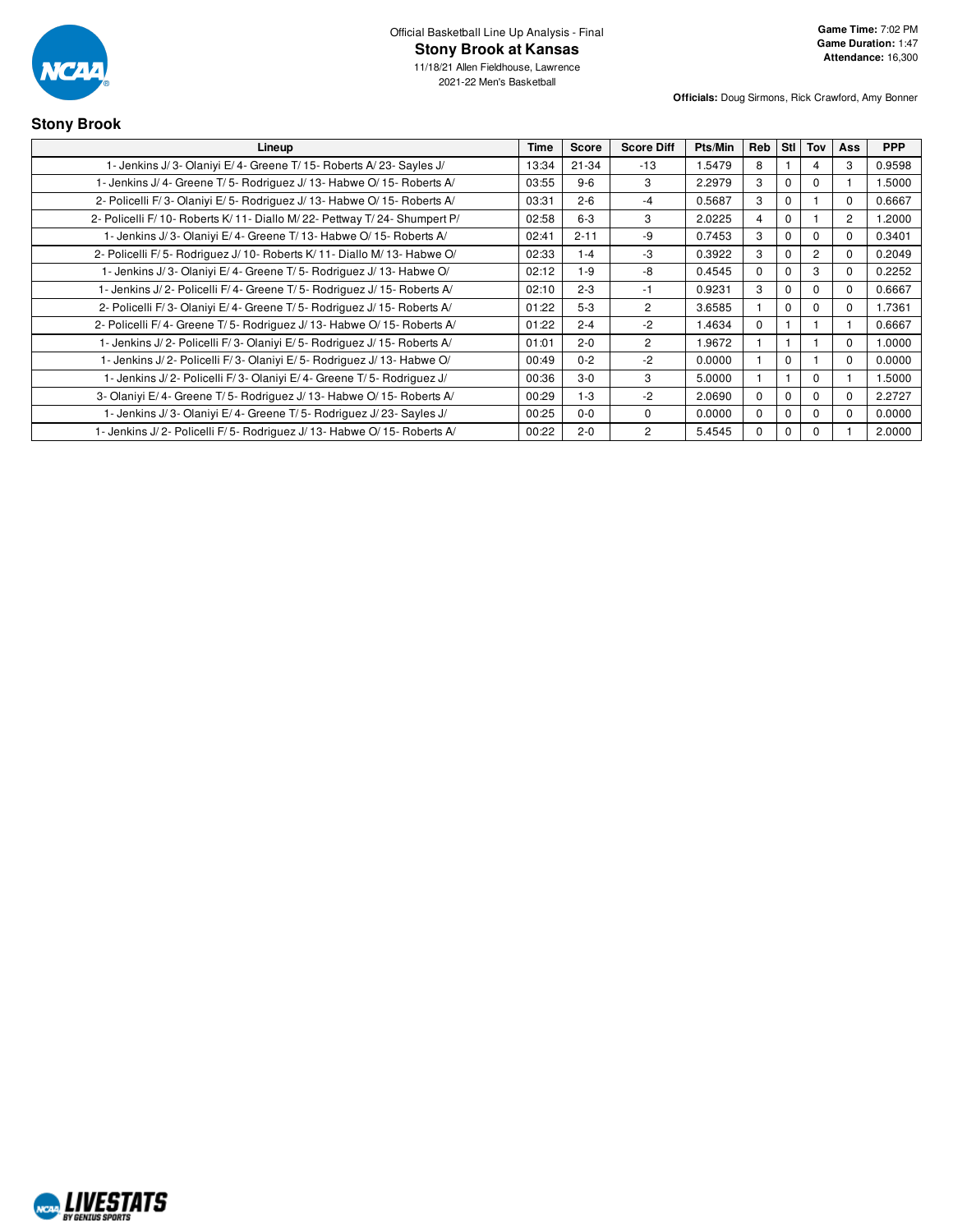

**Stony Brook**

11/18/21 Allen Fieldhouse, Lawrence 2021-22 Men's Basketball

**Officials:** Doug Sirmons, Rick Crawford, Amy Bonner

# **Lineup Time Score Score Diff Pts/Min Reb Stl Tov Ass PPP** 1- Jenkins J/ 3- Olaniyi E/ 4- Greene T/ 15- Roberts A/ 23- Sayles J/ 13:34 21-34 -13 1.5479 8 1 4 3 0.9598 1- Jenkins J/ 4- Greene T/ 5- Rodriguez J/ 13- Habwe O/ 15- Roberts A/ 03:55 9-6 3 2.2979 3 0 0 1 1.5000

| 2- Policelli F/3- Olaniyi E/5- Rodriguez J/13- Habwe O/15- Roberts A/     | 03:31 | $2 - 6$  | -4       | 0.5687 | 3            |          |          | υ              | 0.6667 |
|---------------------------------------------------------------------------|-------|----------|----------|--------|--------------|----------|----------|----------------|--------|
| 2- Policelli F/10- Roberts K/11- Diallo M/22- Pettway T/24- Shumpert P/   | 02:58 | $6-3$    | 3        | 2.0225 | 4            |          |          | $\overline{2}$ | 1.2000 |
| 1- Jenkins J/3- Olaniyi E/4- Greene T/13- Habwe O/15- Roberts A/          | 02:41 | $2 - 11$ | -9       | 0.7453 | 3            | C        | 0        | 0              | 0.3401 |
| 2- Policelli F/5- Rodriguez J/10- Roberts K/11- Diallo M/13- Habwe O/     | 02:33 | $ -4$    | -3       | 0.3922 | 3            |          | 2        | $\Omega$       | 0.2049 |
| 1- Jenkins J/3- Olaniyi E/4- Greene T/5- Rodriguez J/13- Habwe O/         | 02:12 | -9       | -8       | 0.4545 | $\Omega$     |          | 3        | $\Omega$       | 0.2252 |
| 1- Jenkins J/ 2- Policelli F/ 4- Greene T/ 5- Rodriguez J/ 15- Roberts A/ | 02:10 | $2 - 3$  | -1       | 0.9231 | 3            |          | 0        | 0              | 0.6667 |
| 2- Policelli F/3- Olaniyi E/4- Greene T/5- Rodriguez J/15- Roberts A/     | 01:22 | $5-3$    | 2        | 3.6585 |              | $\Omega$ | $\Omega$ | 0              | 1.7361 |
| 2- Policelli F/4- Greene T/5- Rodriguez J/13- Habwe O/15- Roberts A/      | 01:22 | $2 - 4$  | $-2$     | 1.4634 | 0            |          |          |                | 0.6667 |
| 1- Jenkins J/2- Policelli F/3- Olaniyi E/5- Rodriguez J/15- Roberts A/    | 01:01 | $2 - 0$  | 2        | 1.9672 |              |          |          | 0              | 1.0000 |
| 1- Jenkins J/2- Policelli F/3- Olaniyi E/5- Rodriquez J/13- Habwe O/      | 00:49 | $0 - 2$  | $-2$     | 0.0000 |              | C        |          | $\Omega$       | 0.0000 |
| 1- Jenkins J/2- Policelli F/3- Olaniyi E/4- Greene T/5- Rodriguez J/      | 00:36 | $3-0$    | 3        | 5.0000 |              |          | $\Omega$ |                | 1.5000 |
| 3- Olaniyi E/4- Greene T/5- Rodriguez J/13- Habwe O/15- Roberts A/        | 00:29 | l -3     | $-2$     | 2.0690 | $\Omega$     |          | $\Omega$ | 0              | 2.2727 |
| 1- Jenkins J/3- Olaniyi E/4- Greene T/5- Rodriguez J/23- Sayles J/        | 00:25 | $0 - 0$  | $\Omega$ | 0.0000 | <sup>0</sup> | $\Omega$ |          |                | 0.0000 |

1- Jenkins J/ 2- Policelli F/ 5- Rodriguez J/ 13- Habwe O/ 15- Roberts A/ 00:22 2-0 2 5.4545 0 0 0 1 2.0000